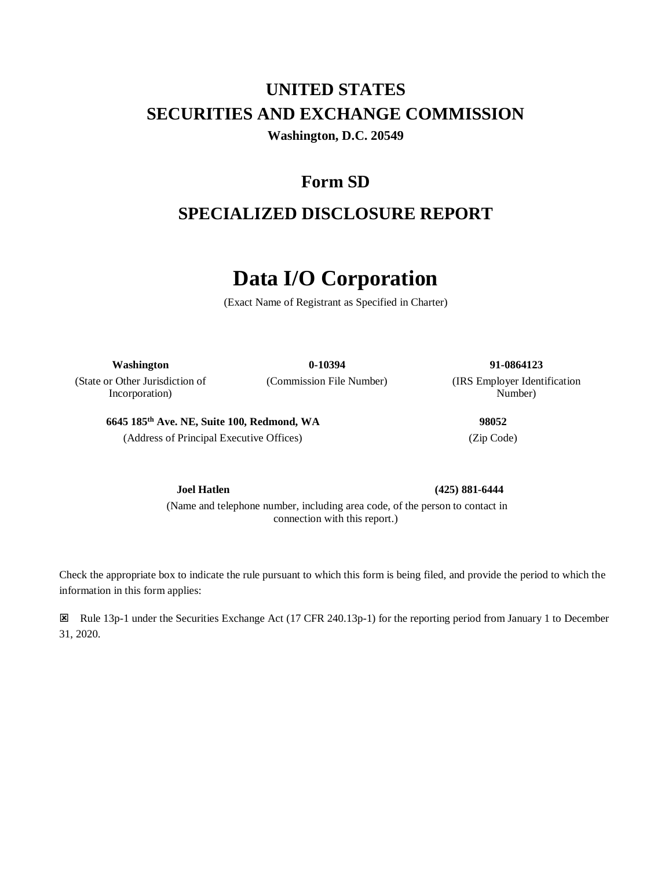# **UNITED STATES SECURITIES AND EXCHANGE COMMISSION Washington, D.C. 20549**

# **Form SD**

# **SPECIALIZED DISCLOSURE REPORT**

# **Data I/O Corporation**

(Exact Name of Registrant as Specified in Charter)

(State or Other Jurisdiction of Incorporation)

**Washington 0-10394 91-0864123**

(Commission File Number) (IRS Employer Identification Number)

**6645 185th Ave. NE, Suite 100, Redmond, WA 98052** (Address of Principal Executive Offices) (Zip Code)

**Joel Hatlen (425) 881-6444**

(Name and telephone number, including area code, of the person to contact in connection with this report.)

Check the appropriate box to indicate the rule pursuant to which this form is being filed, and provide the period to which the information in this form applies:

 Rule 13p-1 under the Securities Exchange Act (17 CFR 240.13p-1) for the reporting period from January 1 to December 31, 2020.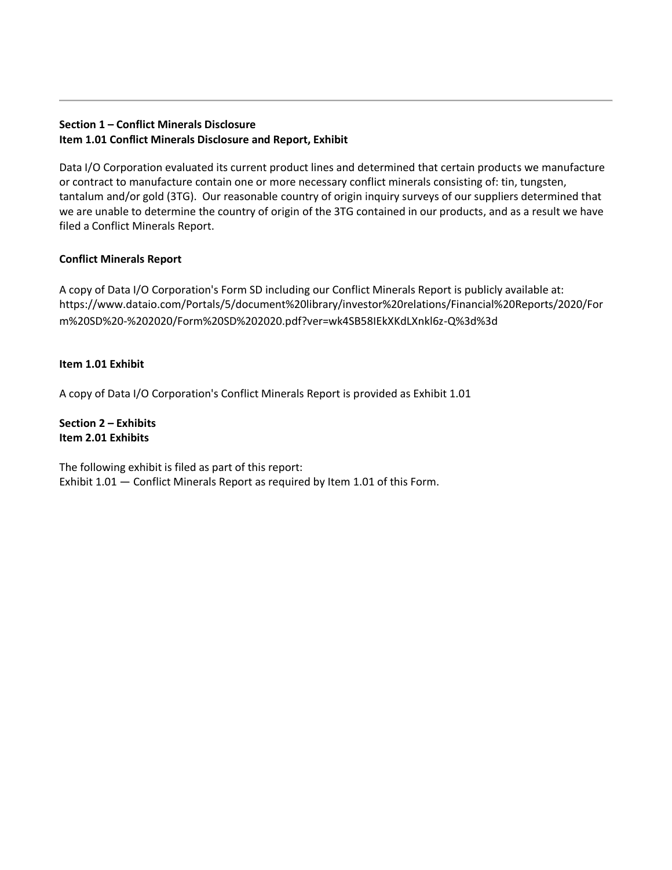# **Section 1 – Conflict Minerals Disclosure Item 1.01 Conflict Minerals Disclosure and Report, Exhibit**

Data I/O Corporation evaluated its current product lines and determined that certain products we manufacture or contract to manufacture contain one or more necessary conflict minerals consisting of: tin, tungsten, tantalum and/or gold (3TG). Our reasonable country of origin inquiry surveys of our suppliers determined that we are unable to determine the country of origin of the 3TG contained in our products, and as a result we have filed a Conflict Minerals Report.

# **Conflict Minerals Report**

A copy of Data I/O Corporation's Form SD including our Conflict Minerals Report is publicly available at: https://www.dataio.com/Portals/5/document%20library/investor%20relations/Financial%20Reports/2020/For m%20SD%20-%202020/Form%20SD%202020.pdf?ver=wk4SB58IEkXKdLXnkl6z-Q%3d%3d

# **Item 1.01 Exhibit**

A copy of Data I/O Corporation's Conflict Minerals Report is provided as Exhibit 1.01

**Section 2 – Exhibits Item 2.01 Exhibits** 

The following exhibit is filed as part of this report: Exhibit 1.01 — Conflict Minerals Report as required by Item 1.01 of this Form.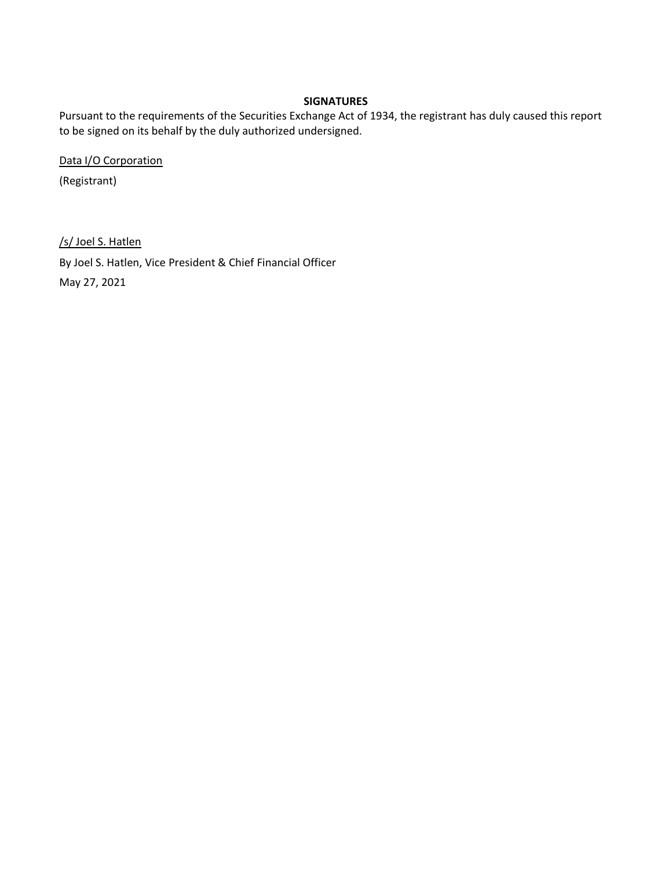### **SIGNATURES**

Pursuant to the requirements of the Securities Exchange Act of 1934, the registrant has duly caused this report to be signed on its behalf by the duly authorized undersigned.

Data I/O Corporation

(Registrant)

/s/ Joel S. Hatlen

By Joel S. Hatlen, Vice President & Chief Financial Officer

May 27, 2021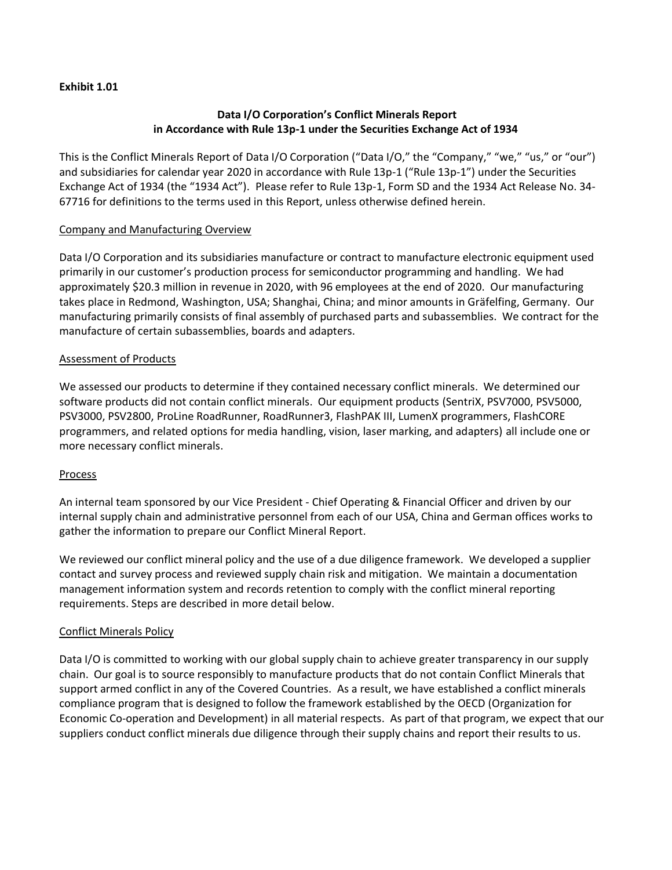#### **Exhibit 1.01**

# **Data I/O Corporation's Conflict Minerals Report in Accordance with Rule 13p-1 under the Securities Exchange Act of 1934**

This is the Conflict Minerals Report of Data I/O Corporation ("Data I/O," the "Company," "we," "us," or "our") and subsidiaries for calendar year 2020 in accordance with Rule 13p-1 ("Rule 13p-1") under the Securities Exchange Act of 1934 (the "1934 Act"). Please refer to Rule 13p-1, Form SD and the 1934 Act Release No. 34- 67716 for definitions to the terms used in this Report, unless otherwise defined herein.

# Company and Manufacturing Overview

Data I/O Corporation and its subsidiaries manufacture or contract to manufacture electronic equipment used primarily in our customer's production process for semiconductor programming and handling. We had approximately \$20.3 million in revenue in 2020, with 96 employees at the end of 2020. Our manufacturing takes place in Redmond, Washington, USA; Shanghai, China; and minor amounts in Gräfelfing, Germany. Our manufacturing primarily consists of final assembly of purchased parts and subassemblies. We contract for the manufacture of certain subassemblies, boards and adapters.

#### Assessment of Products

We assessed our products to determine if they contained necessary conflict minerals. We determined our software products did not contain conflict minerals. Our equipment products (SentriX, PSV7000, PSV5000, PSV3000, PSV2800, ProLine RoadRunner, RoadRunner3, FlashPAK III, LumenX programmers, FlashCORE programmers, and related options for media handling, vision, laser marking, and adapters) all include one or more necessary conflict minerals.

#### Process

An internal team sponsored by our Vice President - Chief Operating & Financial Officer and driven by our internal supply chain and administrative personnel from each of our USA, China and German offices works to gather the information to prepare our Conflict Mineral Report.

We reviewed our conflict mineral policy and the use of a due diligence framework. We developed a supplier contact and survey process and reviewed supply chain risk and mitigation. We maintain a documentation management information system and records retention to comply with the conflict mineral reporting requirements. Steps are described in more detail below.

# Conflict Minerals Policy

Data I/O is committed to working with our global supply chain to achieve greater transparency in our supply chain. Our goal is to source responsibly to manufacture products that do not contain Conflict Minerals that support armed conflict in any of the Covered Countries. As a result, we have established a conflict minerals compliance program that is designed to follow the framework established by the OECD (Organization for Economic Co-operation and Development) in all material respects. As part of that program, we expect that our suppliers conduct conflict minerals due diligence through their supply chains and report their results to us.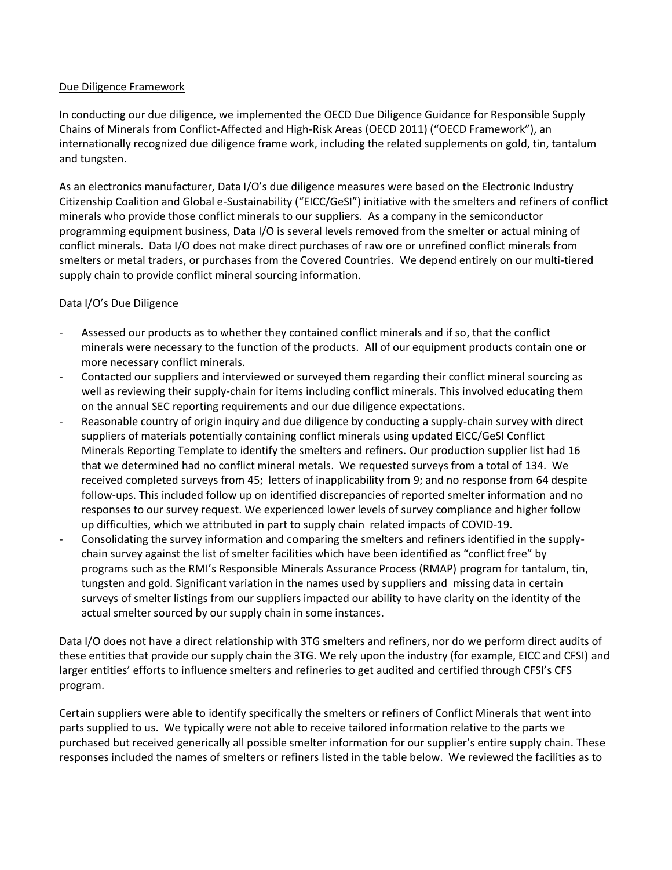# Due Diligence Framework

In conducting our due diligence, we implemented the OECD Due Diligence Guidance for Responsible Supply Chains of Minerals from Conflict-Affected and High-Risk Areas (OECD 2011) ("OECD Framework"), an internationally recognized due diligence frame work, including the related supplements on gold, tin, tantalum and tungsten.

As an electronics manufacturer, Data I/O's due diligence measures were based on the Electronic Industry Citizenship Coalition and Global e-Sustainability ("EICC/GeSI") initiative with the smelters and refiners of conflict minerals who provide those conflict minerals to our suppliers. As a company in the semiconductor programming equipment business, Data I/O is several levels removed from the smelter or actual mining of conflict minerals. Data I/O does not make direct purchases of raw ore or unrefined conflict minerals from smelters or metal traders, or purchases from the Covered Countries. We depend entirely on our multi-tiered supply chain to provide conflict mineral sourcing information.

# Data I/O's Due Diligence

- Assessed our products as to whether they contained conflict minerals and if so, that the conflict minerals were necessary to the function of the products. All of our equipment products contain one or more necessary conflict minerals.
- Contacted our suppliers and interviewed or surveyed them regarding their conflict mineral sourcing as well as reviewing their supply-chain for items including conflict minerals. This involved educating them on the annual SEC reporting requirements and our due diligence expectations.
- Reasonable country of origin inquiry and due diligence by conducting a supply-chain survey with direct suppliers of materials potentially containing conflict minerals using updated EICC/GeSI Conflict Minerals Reporting Template to identify the smelters and refiners. Our production supplier list had 16 that we determined had no conflict mineral metals. We requested surveys from a total of 134. We received completed surveys from 45; letters of inapplicability from 9; and no response from 64 despite follow-ups. This included follow up on identified discrepancies of reported smelter information and no responses to our survey request. We experienced lower levels of survey compliance and higher follow up difficulties, which we attributed in part to supply chain related impacts of COVID-19.
- Consolidating the survey information and comparing the smelters and refiners identified in the supplychain survey against the list of smelter facilities which have been identified as "conflict free" by programs such as the RMI's Responsible Minerals Assurance Process (RMAP) program for tantalum, tin, tungsten and gold. Significant variation in the names used by suppliers and missing data in certain surveys of smelter listings from our suppliers impacted our ability to have clarity on the identity of the actual smelter sourced by our supply chain in some instances.

Data I/O does not have a direct relationship with 3TG smelters and refiners, nor do we perform direct audits of these entities that provide our supply chain the 3TG. We rely upon the industry (for example, EICC and CFSI) and larger entities' efforts to influence smelters and refineries to get audited and certified through CFSI's CFS program.

Certain suppliers were able to identify specifically the smelters or refiners of Conflict Minerals that went into parts supplied to us. We typically were not able to receive tailored information relative to the parts we purchased but received generically all possible smelter information for our supplier's entire supply chain. These responses included the names of smelters or refiners listed in the table below. We reviewed the facilities as to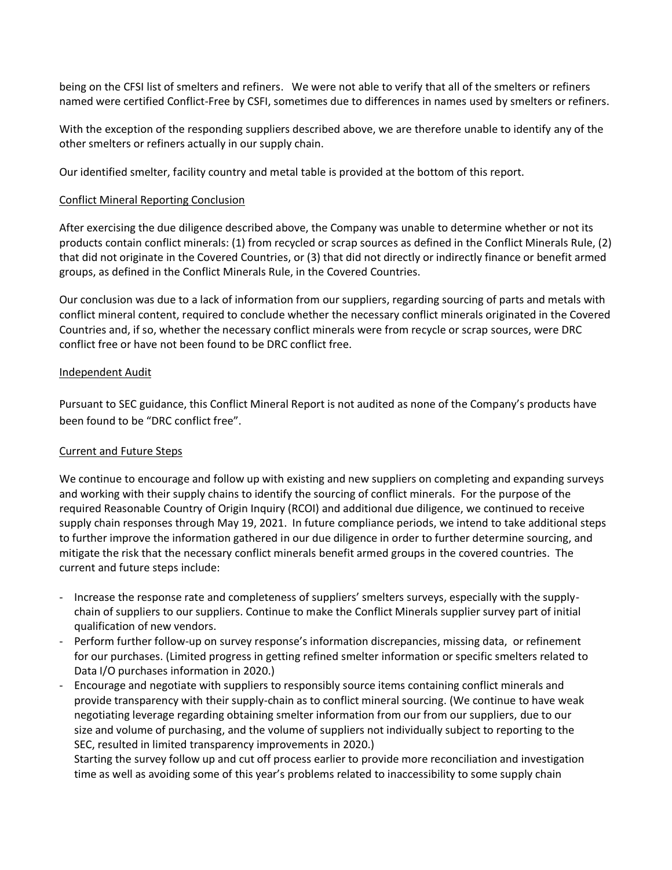being on the CFSI list of smelters and refiners. We were not able to verify that all of the smelters or refiners named were certified Conflict-Free by CSFI, sometimes due to differences in names used by smelters or refiners.

With the exception of the responding suppliers described above, we are therefore unable to identify any of the other smelters or refiners actually in our supply chain.

Our identified smelter, facility country and metal table is provided at the bottom of this report.

# Conflict Mineral Reporting Conclusion

After exercising the due diligence described above, the Company was unable to determine whether or not its products contain conflict minerals: (1) from recycled or scrap sources as defined in the Conflict Minerals Rule, (2) that did not originate in the Covered Countries, or (3) that did not directly or indirectly finance or benefit armed groups, as defined in the Conflict Minerals Rule, in the Covered Countries.

Our conclusion was due to a lack of information from our suppliers, regarding sourcing of parts and metals with conflict mineral content, required to conclude whether the necessary conflict minerals originated in the Covered Countries and, if so, whether the necessary conflict minerals were from recycle or scrap sources, were DRC conflict free or have not been found to be DRC conflict free.

#### Independent Audit

Pursuant to SEC guidance, this Conflict Mineral Report is not audited as none of the Company's products have been found to be "DRC conflict free".

# Current and Future Steps

We continue to encourage and follow up with existing and new suppliers on completing and expanding surveys and working with their supply chains to identify the sourcing of conflict minerals. For the purpose of the required Reasonable Country of Origin Inquiry (RCOI) and additional due diligence, we continued to receive supply chain responses through May 19, 2021. In future compliance periods, we intend to take additional steps to further improve the information gathered in our due diligence in order to further determine sourcing, and mitigate the risk that the necessary conflict minerals benefit armed groups in the covered countries. The current and future steps include:

- Increase the response rate and completeness of suppliers' smelters surveys, especially with the supplychain of suppliers to our suppliers. Continue to make the Conflict Minerals supplier survey part of initial qualification of new vendors.
- Perform further follow-up on survey response's information discrepancies, missing data, or refinement for our purchases. (Limited progress in getting refined smelter information or specific smelters related to Data I/O purchases information in 2020.)
- Encourage and negotiate with suppliers to responsibly source items containing conflict minerals and provide transparency with their supply-chain as to conflict mineral sourcing. (We continue to have weak negotiating leverage regarding obtaining smelter information from our from our suppliers, due to our size and volume of purchasing, and the volume of suppliers not individually subject to reporting to the SEC, resulted in limited transparency improvements in 2020.)

Starting the survey follow up and cut off process earlier to provide more reconciliation and investigation time as well as avoiding some of this year's problems related to inaccessibility to some supply chain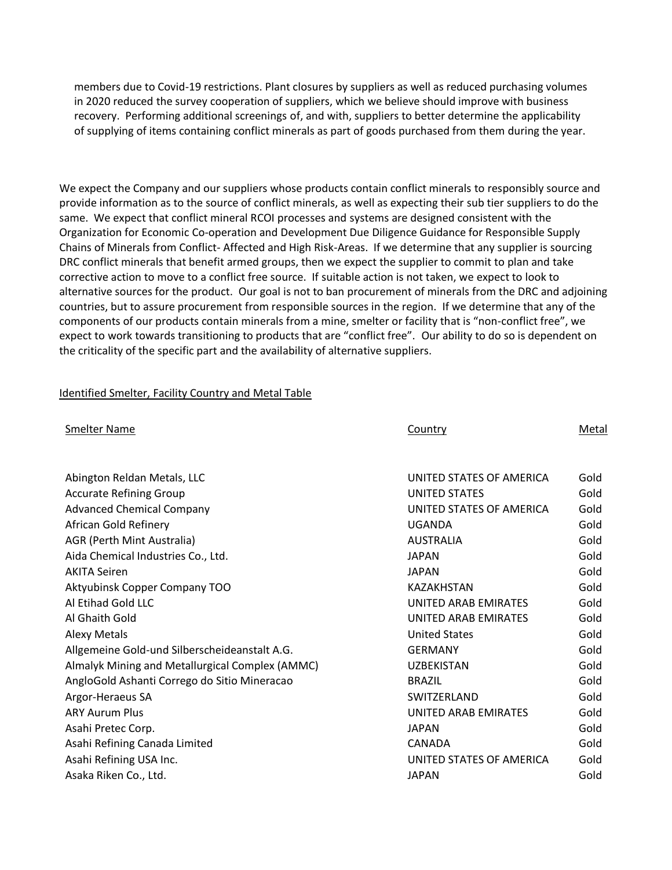members due to Covid-19 restrictions. Plant closures by suppliers as well as reduced purchasing volumes in 2020 reduced the survey cooperation of suppliers, which we believe should improve with business recovery. Performing additional screenings of, and with, suppliers to better determine the applicability of supplying of items containing conflict minerals as part of goods purchased from them during the year.

We expect the Company and our suppliers whose products contain conflict minerals to responsibly source and provide information as to the source of conflict minerals, as well as expecting their sub tier suppliers to do the same. We expect that conflict mineral RCOI processes and systems are designed consistent with the Organization for Economic Co-operation and Development Due Diligence Guidance for Responsible Supply Chains of Minerals from Conflict- Affected and High Risk-Areas. If we determine that any supplier is sourcing DRC conflict minerals that benefit armed groups, then we expect the supplier to commit to plan and take corrective action to move to a conflict free source. If suitable action is not taken, we expect to look to alternative sources for the product. Our goal is not to ban procurement of minerals from the DRC and adjoining countries, but to assure procurement from responsible sources in the region. If we determine that any of the components of our products contain minerals from a mine, smelter or facility that is "non-conflict free", we expect to work towards transitioning to products that are "conflict free". Our ability to do so is dependent on the criticality of the specific part and the availability of alternative suppliers.

#### Identified Smelter, Facility Country and Metal Table

| <b>Smelter Name</b>                             | Country                     | Metal |
|-------------------------------------------------|-----------------------------|-------|
|                                                 |                             |       |
| Abington Reldan Metals, LLC                     | UNITED STATES OF AMERICA    | Gold  |
| <b>Accurate Refining Group</b>                  | <b>UNITED STATES</b>        | Gold  |
| <b>Advanced Chemical Company</b>                | UNITED STATES OF AMERICA    | Gold  |
| African Gold Refinery                           | UGANDA                      | Gold  |
| AGR (Perth Mint Australia)                      | <b>AUSTRALIA</b>            | Gold  |
| Aida Chemical Industries Co., Ltd.              | <b>JAPAN</b>                | Gold  |
| <b>AKITA Seiren</b>                             | <b>JAPAN</b>                | Gold  |
| Aktyubinsk Copper Company TOO                   | KAZAKHSTAN                  | Gold  |
| Al Etihad Gold LLC                              | <b>UNITED ARAB EMIRATES</b> | Gold  |
| Al Ghaith Gold                                  | UNITED ARAB EMIRATES        | Gold  |
| <b>Alexy Metals</b>                             | <b>United States</b>        | Gold  |
| Allgemeine Gold-und Silberscheideanstalt A.G.   | <b>GERMANY</b>              | Gold  |
| Almalyk Mining and Metallurgical Complex (AMMC) | <b>UZBEKISTAN</b>           | Gold  |
| AngloGold Ashanti Corrego do Sitio Mineracao    | <b>BRAZIL</b>               | Gold  |
| Argor-Heraeus SA                                | SWITZERLAND                 | Gold  |
| <b>ARY Aurum Plus</b>                           | UNITED ARAB EMIRATES        | Gold  |
| Asahi Pretec Corp.                              | <b>JAPAN</b>                | Gold  |
| Asahi Refining Canada Limited                   | CANADA                      | Gold  |
| Asahi Refining USA Inc.                         | UNITED STATES OF AMERICA    | Gold  |
| Asaka Riken Co., Ltd.                           | <b>JAPAN</b>                | Gold  |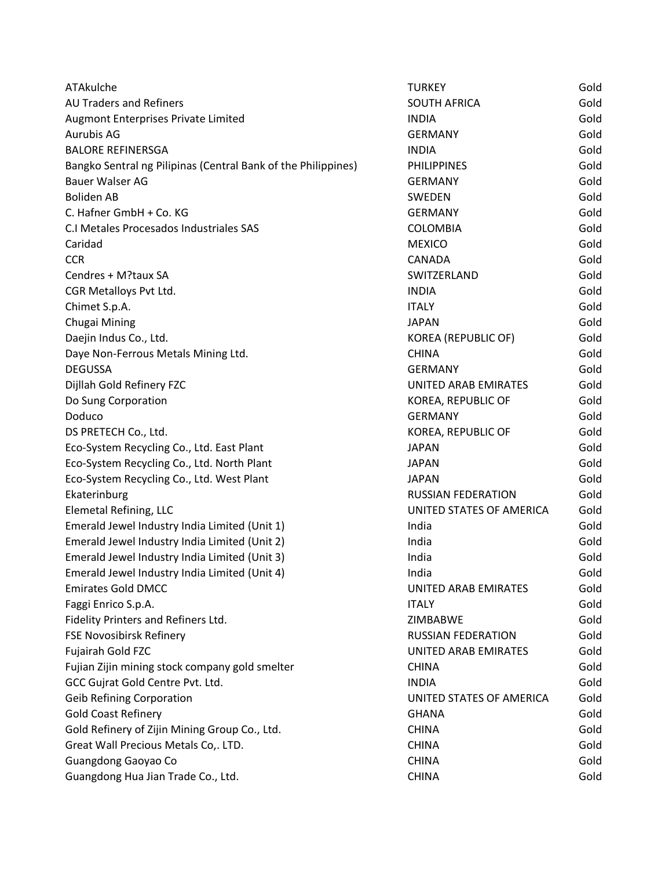| ATAkulche                                                     | <b>TURKEY</b>               | Gold |
|---------------------------------------------------------------|-----------------------------|------|
| AU Traders and Refiners                                       | <b>SOUTH AFRICA</b>         | Gold |
| Augmont Enterprises Private Limited                           | <b>INDIA</b>                | Gold |
| Aurubis AG                                                    | <b>GERMANY</b>              | Gold |
| <b>BALORE REFINERSGA</b>                                      | <b>INDIA</b>                | Gold |
| Bangko Sentral ng Pilipinas (Central Bank of the Philippines) | <b>PHILIPPINES</b>          | Gold |
| <b>Bauer Walser AG</b>                                        | <b>GERMANY</b>              | Gold |
| <b>Boliden AB</b>                                             | SWEDEN                      | Gold |
| C. Hafner GmbH + Co. KG                                       | <b>GERMANY</b>              | Gold |
| C.I Metales Procesados Industriales SAS                       | <b>COLOMBIA</b>             | Gold |
| Caridad                                                       | <b>MEXICO</b>               | Gold |
| <b>CCR</b>                                                    | CANADA                      | Gold |
| Cendres + M?taux SA                                           | SWITZERLAND                 | Gold |
| CGR Metalloys Pvt Ltd.                                        | <b>INDIA</b>                | Gold |
| Chimet S.p.A.                                                 | <b>ITALY</b>                | Gold |
| Chugai Mining                                                 | <b>JAPAN</b>                | Gold |
| Daejin Indus Co., Ltd.                                        | KOREA (REPUBLIC OF)         | Gold |
| Daye Non-Ferrous Metals Mining Ltd.                           | <b>CHINA</b>                | Gold |
| <b>DEGUSSA</b>                                                | <b>GERMANY</b>              | Gold |
| Dijllah Gold Refinery FZC                                     | <b>UNITED ARAB EMIRATES</b> | Gold |
| Do Sung Corporation                                           | KOREA, REPUBLIC OF          | Gold |
| Doduco                                                        | <b>GERMANY</b>              | Gold |
| DS PRETECH Co., Ltd.                                          | KOREA, REPUBLIC OF          | Gold |
| Eco-System Recycling Co., Ltd. East Plant                     | <b>JAPAN</b>                | Gold |
| Eco-System Recycling Co., Ltd. North Plant                    | <b>JAPAN</b>                | Gold |
| Eco-System Recycling Co., Ltd. West Plant                     | <b>JAPAN</b>                | Gold |
| Ekaterinburg                                                  | <b>RUSSIAN FEDERATION</b>   | Gold |
| <b>Elemetal Refining, LLC</b>                                 | UNITED STATES OF AMERICA    | Gold |
| Emerald Jewel Industry India Limited (Unit 1)                 | India                       | Gold |
| Emerald Jewel Industry India Limited (Unit 2)                 | India                       | Gold |
| Emerald Jewel Industry India Limited (Unit 3)                 | India                       | Gold |
| Emerald Jewel Industry India Limited (Unit 4)                 | India                       | Gold |
| <b>Emirates Gold DMCC</b>                                     | UNITED ARAB EMIRATES        | Gold |
| Faggi Enrico S.p.A.                                           | <b>ITALY</b>                | Gold |
| Fidelity Printers and Refiners Ltd.                           | ZIMBABWE                    | Gold |
| <b>FSE Novosibirsk Refinery</b>                               | <b>RUSSIAN FEDERATION</b>   | Gold |
| Fujairah Gold FZC                                             | UNITED ARAB EMIRATES        | Gold |
| Fujian Zijin mining stock company gold smelter                | <b>CHINA</b>                | Gold |
| GCC Gujrat Gold Centre Pvt. Ltd.                              | <b>INDIA</b>                | Gold |
| <b>Geib Refining Corporation</b>                              | UNITED STATES OF AMERICA    | Gold |
| <b>Gold Coast Refinery</b>                                    | <b>GHANA</b>                | Gold |
| Gold Refinery of Zijin Mining Group Co., Ltd.                 | <b>CHINA</b>                | Gold |
| Great Wall Precious Metals Co,. LTD.                          | <b>CHINA</b>                | Gold |
| Guangdong Gaoyao Co                                           | <b>CHINA</b>                | Gold |
| Guangdong Hua Jian Trade Co., Ltd.                            | <b>CHINA</b>                | Gold |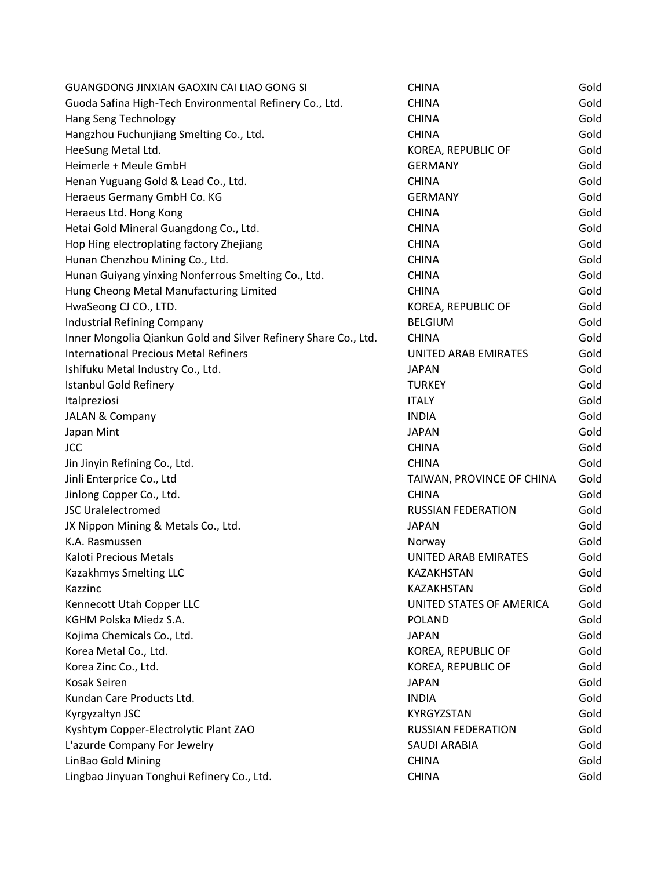| GUANGDONG JINXIAN GAOXIN CAI LIAO GONG SI                       | <b>CHINA</b>              | Gold |
|-----------------------------------------------------------------|---------------------------|------|
| Guoda Safina High-Tech Environmental Refinery Co., Ltd.         | <b>CHINA</b>              | Gold |
| Hang Seng Technology                                            | <b>CHINA</b>              | Gold |
| Hangzhou Fuchunjiang Smelting Co., Ltd.                         | <b>CHINA</b>              | Gold |
| HeeSung Metal Ltd.                                              | KOREA, REPUBLIC OF        | Gold |
| Heimerle + Meule GmbH                                           | <b>GERMANY</b>            | Gold |
| Henan Yuguang Gold & Lead Co., Ltd.                             | <b>CHINA</b>              | Gold |
| Heraeus Germany GmbH Co. KG                                     | <b>GERMANY</b>            | Gold |
| Heraeus Ltd. Hong Kong                                          | <b>CHINA</b>              | Gold |
| Hetai Gold Mineral Guangdong Co., Ltd.                          | <b>CHINA</b>              | Gold |
| Hop Hing electroplating factory Zhejiang                        | <b>CHINA</b>              | Gold |
| Hunan Chenzhou Mining Co., Ltd.                                 | <b>CHINA</b>              | Gold |
| Hunan Guiyang yinxing Nonferrous Smelting Co., Ltd.             | <b>CHINA</b>              | Gold |
| Hung Cheong Metal Manufacturing Limited                         | <b>CHINA</b>              | Gold |
| HwaSeong CJ CO., LTD.                                           | KOREA, REPUBLIC OF        | Gold |
| Industrial Refining Company                                     | <b>BELGIUM</b>            | Gold |
| Inner Mongolia Qiankun Gold and Silver Refinery Share Co., Ltd. | <b>CHINA</b>              | Gold |
| <b>International Precious Metal Refiners</b>                    | UNITED ARAB EMIRATES      | Gold |
| Ishifuku Metal Industry Co., Ltd.                               | <b>JAPAN</b>              | Gold |
| <b>Istanbul Gold Refinery</b>                                   | <b>TURKEY</b>             | Gold |
| Italpreziosi                                                    | <b>ITALY</b>              | Gold |
| <b>JALAN &amp; Company</b>                                      | <b>INDIA</b>              | Gold |
| Japan Mint                                                      | <b>JAPAN</b>              | Gold |
| <b>JCC</b>                                                      | <b>CHINA</b>              | Gold |
| Jin Jinyin Refining Co., Ltd.                                   | <b>CHINA</b>              | Gold |
| Jinli Enterprice Co., Ltd                                       | TAIWAN, PROVINCE OF CHINA | Gold |
| Jinlong Copper Co., Ltd.                                        | <b>CHINA</b>              | Gold |
| <b>JSC Uralelectromed</b>                                       | <b>RUSSIAN FEDERATION</b> | Gold |
| JX Nippon Mining & Metals Co., Ltd.                             | <b>JAPAN</b>              | Gold |
| K.A. Rasmussen                                                  | Norway                    | Gold |
| Kaloti Precious Metals                                          | UNITED ARAB EMIRATES      | Gold |
| Kazakhmys Smelting LLC                                          | KAZAKHSTAN                | Gold |
| Kazzinc                                                         | KAZAKHSTAN                | Gold |
| Kennecott Utah Copper LLC                                       | UNITED STATES OF AMERICA  | Gold |
| KGHM Polska Miedz S.A.                                          | <b>POLAND</b>             | Gold |
| Kojima Chemicals Co., Ltd.                                      | <b>JAPAN</b>              | Gold |
| Korea Metal Co., Ltd.                                           | KOREA, REPUBLIC OF        | Gold |
| Korea Zinc Co., Ltd.                                            | KOREA, REPUBLIC OF        | Gold |
| Kosak Seiren                                                    | <b>JAPAN</b>              | Gold |
| Kundan Care Products Ltd.                                       | <b>INDIA</b>              | Gold |
| Kyrgyzaltyn JSC                                                 | KYRGYZSTAN                | Gold |
| Kyshtym Copper-Electrolytic Plant ZAO                           | <b>RUSSIAN FEDERATION</b> | Gold |
| L'azurde Company For Jewelry                                    | <b>SAUDI ARABIA</b>       | Gold |
| LinBao Gold Mining                                              | <b>CHINA</b>              | Gold |
| Lingbao Jinyuan Tonghui Refinery Co., Ltd.                      | <b>CHINA</b>              | Gold |
|                                                                 |                           |      |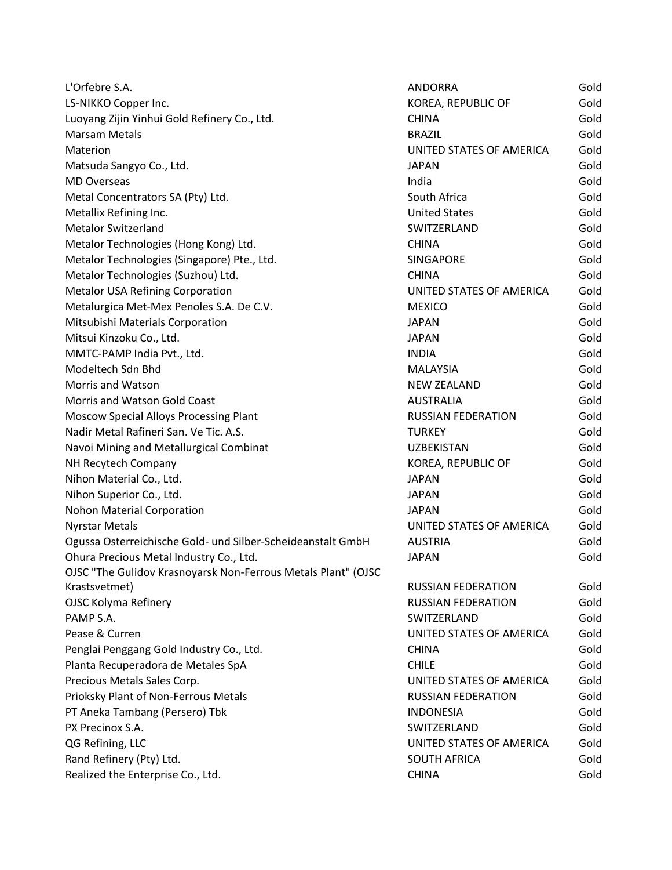| L'Orfebre S.A.                                                | ANDORRA                   | Gold |
|---------------------------------------------------------------|---------------------------|------|
| LS-NIKKO Copper Inc.                                          | KOREA, REPUBLIC OF        | Gold |
| Luoyang Zijin Yinhui Gold Refinery Co., Ltd.                  | <b>CHINA</b>              | Gold |
| <b>Marsam Metals</b>                                          | <b>BRAZIL</b>             | Gold |
| Materion                                                      | UNITED STATES OF AMERICA  | Gold |
| Matsuda Sangyo Co., Ltd.                                      | <b>JAPAN</b>              | Gold |
| <b>MD Overseas</b>                                            | India                     | Gold |
| Metal Concentrators SA (Pty) Ltd.                             | South Africa              | Gold |
| Metallix Refining Inc.                                        | <b>United States</b>      | Gold |
| <b>Metalor Switzerland</b>                                    | SWITZERLAND               | Gold |
| Metalor Technologies (Hong Kong) Ltd.                         | <b>CHINA</b>              | Gold |
| Metalor Technologies (Singapore) Pte., Ltd.                   | <b>SINGAPORE</b>          | Gold |
| Metalor Technologies (Suzhou) Ltd.                            | <b>CHINA</b>              | Gold |
| Metalor USA Refining Corporation                              | UNITED STATES OF AMERICA  | Gold |
| Metalurgica Met-Mex Penoles S.A. De C.V.                      | <b>MEXICO</b>             | Gold |
| Mitsubishi Materials Corporation                              | <b>JAPAN</b>              | Gold |
| Mitsui Kinzoku Co., Ltd.                                      | <b>JAPAN</b>              | Gold |
| MMTC-PAMP India Pvt., Ltd.                                    | <b>INDIA</b>              | Gold |
| Modeltech Sdn Bhd                                             | <b>MALAYSIA</b>           | Gold |
| Morris and Watson                                             | <b>NEW ZEALAND</b>        | Gold |
| Morris and Watson Gold Coast                                  | <b>AUSTRALIA</b>          | Gold |
| Moscow Special Alloys Processing Plant                        | <b>RUSSIAN FEDERATION</b> | Gold |
| Nadir Metal Rafineri San. Ve Tic. A.S.                        | <b>TURKEY</b>             | Gold |
| Navoi Mining and Metallurgical Combinat                       | <b>UZBEKISTAN</b>         | Gold |
| NH Recytech Company                                           | KOREA, REPUBLIC OF        | Gold |
| Nihon Material Co., Ltd.                                      | <b>JAPAN</b>              | Gold |
| Nihon Superior Co., Ltd.                                      | <b>JAPAN</b>              | Gold |
| Nohon Material Corporation                                    | <b>JAPAN</b>              | Gold |
| <b>Nyrstar Metals</b>                                         | UNITED STATES OF AMERICA  | Gold |
| Ogussa Osterreichische Gold- und Silber-Scheideanstalt GmbH   | <b>AUSTRIA</b>            | Gold |
| Ohura Precious Metal Industry Co., Ltd.                       | <b>JAPAN</b>              | Gold |
| OJSC "The Gulidov Krasnoyarsk Non-Ferrous Metals Plant" (OJSC |                           |      |
| Krastsvetmet)                                                 | <b>RUSSIAN FEDERATION</b> | Gold |
| <b>OJSC Kolyma Refinery</b>                                   | <b>RUSSIAN FEDERATION</b> | Gold |
| PAMP S.A.                                                     | SWITZERLAND               | Gold |
| Pease & Curren                                                | UNITED STATES OF AMERICA  | Gold |
| Penglai Penggang Gold Industry Co., Ltd.                      | <b>CHINA</b>              | Gold |
| Planta Recuperadora de Metales SpA                            | <b>CHILE</b>              | Gold |
| Precious Metals Sales Corp.                                   | UNITED STATES OF AMERICA  | Gold |
| Prioksky Plant of Non-Ferrous Metals                          | <b>RUSSIAN FEDERATION</b> | Gold |
| PT Aneka Tambang (Persero) Tbk                                | <b>INDONESIA</b>          | Gold |
| PX Precinox S.A.                                              | SWITZERLAND               | Gold |
| QG Refining, LLC                                              | UNITED STATES OF AMERICA  | Gold |
| Rand Refinery (Pty) Ltd.                                      | <b>SOUTH AFRICA</b>       | Gold |
| Realized the Enterprise Co., Ltd.                             | <b>CHINA</b>              | Gold |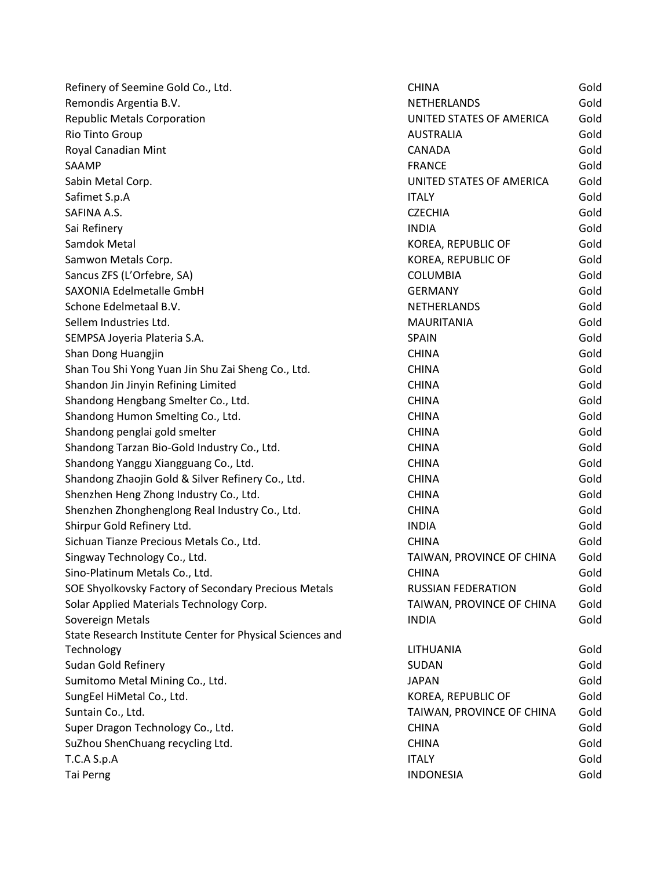| Refinery of Seemine Gold Co., Ltd.                        | <b>CHINA</b>              | Gold |
|-----------------------------------------------------------|---------------------------|------|
| Remondis Argentia B.V.                                    | NETHERLANDS               | Gold |
| <b>Republic Metals Corporation</b>                        | UNITED STATES OF AMERICA  | Gold |
| Rio Tinto Group                                           | <b>AUSTRALIA</b>          | Gold |
| Royal Canadian Mint                                       | <b>CANADA</b>             | Gold |
| SAAMP                                                     | <b>FRANCE</b>             | Gold |
| Sabin Metal Corp.                                         | UNITED STATES OF AMERICA  | Gold |
| Safimet S.p.A                                             | <b>ITALY</b>              | Gold |
| SAFINA A.S.                                               | <b>CZECHIA</b>            | Gold |
| Sai Refinery                                              | <b>INDIA</b>              | Gold |
| Samdok Metal                                              | KOREA, REPUBLIC OF        | Gold |
| Samwon Metals Corp.                                       | KOREA, REPUBLIC OF        | Gold |
| Sancus ZFS (L'Orfebre, SA)                                | <b>COLUMBIA</b>           | Gold |
| SAXONIA Edelmetalle GmbH                                  | <b>GERMANY</b>            | Gold |
| Schone Edelmetaal B.V.                                    | <b>NETHERLANDS</b>        | Gold |
| Sellem Industries Ltd.                                    | <b>MAURITANIA</b>         | Gold |
| SEMPSA Joyeria Plateria S.A.                              | <b>SPAIN</b>              | Gold |
| Shan Dong Huangjin                                        | <b>CHINA</b>              | Gold |
| Shan Tou Shi Yong Yuan Jin Shu Zai Sheng Co., Ltd.        | <b>CHINA</b>              | Gold |
| Shandon Jin Jinyin Refining Limited                       | <b>CHINA</b>              | Gold |
| Shandong Hengbang Smelter Co., Ltd.                       | <b>CHINA</b>              | Gold |
| Shandong Humon Smelting Co., Ltd.                         | <b>CHINA</b>              | Gold |
| Shandong penglai gold smelter                             | <b>CHINA</b>              | Gold |
| Shandong Tarzan Bio-Gold Industry Co., Ltd.               | <b>CHINA</b>              | Gold |
| Shandong Yanggu Xiangguang Co., Ltd.                      | <b>CHINA</b>              | Gold |
| Shandong Zhaojin Gold & Silver Refinery Co., Ltd.         | <b>CHINA</b>              | Gold |
| Shenzhen Heng Zhong Industry Co., Ltd.                    | <b>CHINA</b>              | Gold |
| Shenzhen Zhonghenglong Real Industry Co., Ltd.            | <b>CHINA</b>              | Gold |
| Shirpur Gold Refinery Ltd.                                | <b>INDIA</b>              | Gold |
| Sichuan Tianze Precious Metals Co., Ltd.                  | <b>CHINA</b>              | Gold |
| Singway Technology Co., Ltd.                              | TAIWAN, PROVINCE OF CHINA | Gold |
| Sino-Platinum Metals Co., Ltd.                            | <b>CHINA</b>              | Gold |
| SOE Shyolkovsky Factory of Secondary Precious Metals      | <b>RUSSIAN FEDERATION</b> | Gold |
| Solar Applied Materials Technology Corp.                  | TAIWAN, PROVINCE OF CHINA | Gold |
| Sovereign Metals                                          | <b>INDIA</b>              | Gold |
| State Research Institute Center for Physical Sciences and |                           |      |
| Technology                                                | LITHUANIA                 | Gold |
| Sudan Gold Refinery                                       | <b>SUDAN</b>              | Gold |
| Sumitomo Metal Mining Co., Ltd.                           | <b>JAPAN</b>              | Gold |
| SungEel HiMetal Co., Ltd.                                 | KOREA, REPUBLIC OF        | Gold |
| Suntain Co., Ltd.                                         | TAIWAN, PROVINCE OF CHINA | Gold |
| Super Dragon Technology Co., Ltd.                         | <b>CHINA</b>              | Gold |
| SuZhou ShenChuang recycling Ltd.                          | <b>CHINA</b>              | Gold |
| T.C.A S.p.A                                               | <b>ITALY</b>              | Gold |
| Tai Perng                                                 | <b>INDONESIA</b>          | Gold |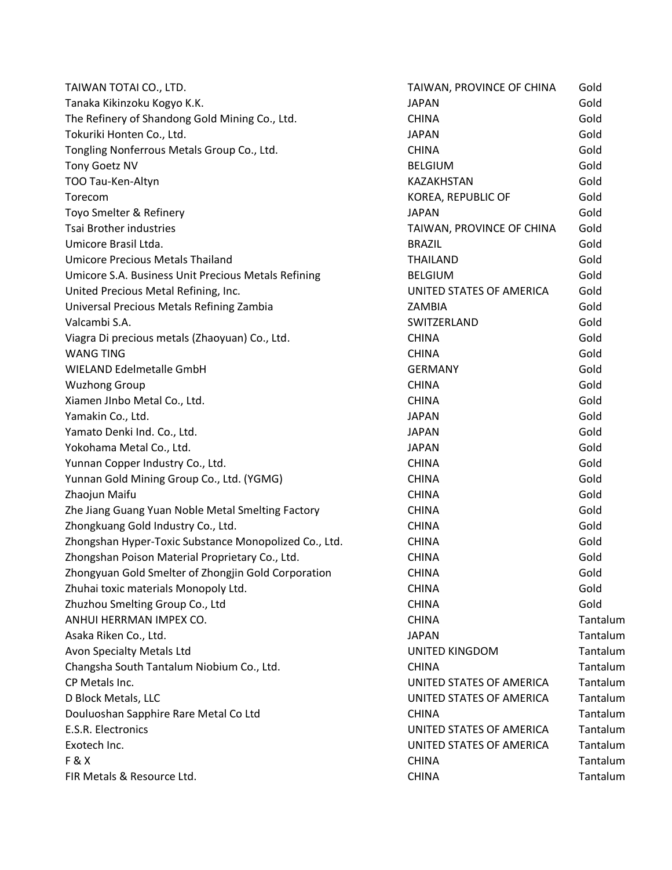| TAIWAN TOTAI CO., LTD.                                | TAIWAN, PROVINCE OF CHINA | Gold     |
|-------------------------------------------------------|---------------------------|----------|
| Tanaka Kikinzoku Kogyo K.K.                           | <b>JAPAN</b>              | Gold     |
| The Refinery of Shandong Gold Mining Co., Ltd.        | <b>CHINA</b>              | Gold     |
| Tokuriki Honten Co., Ltd.                             | <b>JAPAN</b>              | Gold     |
| Tongling Nonferrous Metals Group Co., Ltd.            | <b>CHINA</b>              | Gold     |
| Tony Goetz NV                                         | <b>BELGIUM</b>            | Gold     |
| TOO Tau-Ken-Altyn                                     | KAZAKHSTAN                | Gold     |
| Torecom                                               | KOREA, REPUBLIC OF        | Gold     |
| Toyo Smelter & Refinery                               | <b>JAPAN</b>              | Gold     |
| <b>Tsai Brother industries</b>                        | TAIWAN, PROVINCE OF CHINA | Gold     |
| Umicore Brasil Ltda.                                  | <b>BRAZIL</b>             | Gold     |
| <b>Umicore Precious Metals Thailand</b>               | <b>THAILAND</b>           | Gold     |
| Umicore S.A. Business Unit Precious Metals Refining   | <b>BELGIUM</b>            | Gold     |
| United Precious Metal Refining, Inc.                  | UNITED STATES OF AMERICA  | Gold     |
| Universal Precious Metals Refining Zambia             | ZAMBIA                    | Gold     |
| Valcambi S.A.                                         | SWITZERLAND               | Gold     |
| Viagra Di precious metals (Zhaoyuan) Co., Ltd.        | <b>CHINA</b>              | Gold     |
| <b>WANG TING</b>                                      | <b>CHINA</b>              | Gold     |
| WIELAND Edelmetalle GmbH                              | <b>GERMANY</b>            | Gold     |
| <b>Wuzhong Group</b>                                  | <b>CHINA</b>              | Gold     |
| Xiamen JInbo Metal Co., Ltd.                          | <b>CHINA</b>              | Gold     |
| Yamakin Co., Ltd.                                     | <b>JAPAN</b>              | Gold     |
| Yamato Denki Ind. Co., Ltd.                           | <b>JAPAN</b>              | Gold     |
| Yokohama Metal Co., Ltd.                              | <b>JAPAN</b>              | Gold     |
| Yunnan Copper Industry Co., Ltd.                      | <b>CHINA</b>              | Gold     |
| Yunnan Gold Mining Group Co., Ltd. (YGMG)             | <b>CHINA</b>              | Gold     |
| Zhaojun Maifu                                         | <b>CHINA</b>              | Gold     |
| Zhe Jiang Guang Yuan Noble Metal Smelting Factory     | <b>CHINA</b>              | Gold     |
| Zhongkuang Gold Industry Co., Ltd.                    | <b>CHINA</b>              | Gold     |
| Zhongshan Hyper-Toxic Substance Monopolized Co., Ltd. | <b>CHINA</b>              | Gold     |
| Zhongshan Poison Material Proprietary Co., Ltd.       | <b>CHINA</b>              | Gold     |
| Zhongyuan Gold Smelter of Zhongjin Gold Corporation   | <b>CHINA</b>              | Gold     |
| Zhuhai toxic materials Monopoly Ltd.                  | <b>CHINA</b>              | Gold     |
| Zhuzhou Smelting Group Co., Ltd                       | <b>CHINA</b>              | Gold     |
| ANHUI HERRMAN IMPEX CO.                               | <b>CHINA</b>              | Tantalum |
| Asaka Riken Co., Ltd.                                 | <b>JAPAN</b>              | Tantalum |
| Avon Specialty Metals Ltd                             | <b>UNITED KINGDOM</b>     | Tantalum |
| Changsha South Tantalum Niobium Co., Ltd.             | <b>CHINA</b>              | Tantalum |
| CP Metals Inc.                                        | UNITED STATES OF AMERICA  | Tantalum |
| D Block Metals, LLC                                   | UNITED STATES OF AMERICA  | Tantalum |
| Douluoshan Sapphire Rare Metal Co Ltd                 | <b>CHINA</b>              | Tantalum |
| E.S.R. Electronics                                    | UNITED STATES OF AMERICA  | Tantalum |
| Exotech Inc.                                          | UNITED STATES OF AMERICA  | Tantalum |
| <b>F&amp;X</b>                                        | <b>CHINA</b>              | Tantalum |
| FIR Metals & Resource Ltd.                            | <b>CHINA</b>              | Tantalum |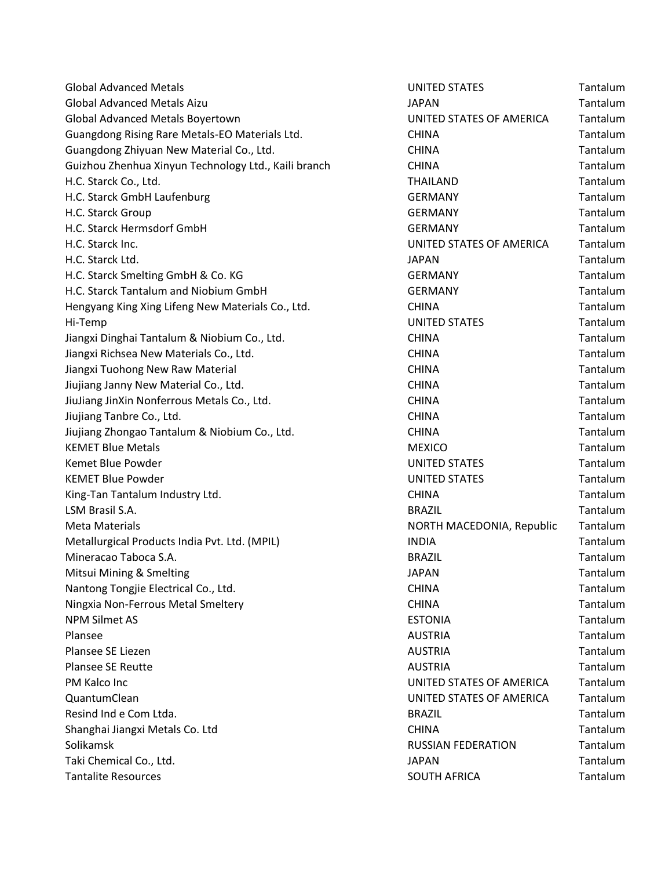| <b>Global Advanced Metals</b>                        | <b>UNITED STATES</b>      | Tantalum |
|------------------------------------------------------|---------------------------|----------|
| <b>Global Advanced Metals Aizu</b>                   | <b>JAPAN</b>              | Tantalum |
| Global Advanced Metals Boyertown                     | UNITED STATES OF AMERICA  | Tantalum |
| Guangdong Rising Rare Metals-EO Materials Ltd.       | <b>CHINA</b>              | Tantalum |
| Guangdong Zhiyuan New Material Co., Ltd.             | <b>CHINA</b>              | Tantalum |
| Guizhou Zhenhua Xinyun Technology Ltd., Kaili branch | <b>CHINA</b>              | Tantalum |
| H.C. Starck Co., Ltd.                                | THAILAND                  | Tantalum |
| H.C. Starck GmbH Laufenburg                          | <b>GERMANY</b>            | Tantalum |
| H.C. Starck Group                                    | <b>GERMANY</b>            | Tantalum |
| H.C. Starck Hermsdorf GmbH                           | <b>GERMANY</b>            | Tantalum |
| H.C. Starck Inc.                                     | UNITED STATES OF AMERICA  | Tantalum |
| H.C. Starck Ltd.                                     | <b>JAPAN</b>              | Tantalum |
| H.C. Starck Smelting GmbH & Co. KG                   | <b>GERMANY</b>            | Tantalum |
| H.C. Starck Tantalum and Niobium GmbH                | <b>GERMANY</b>            | Tantalum |
| Hengyang King Xing Lifeng New Materials Co., Ltd.    | <b>CHINA</b>              | Tantalum |
| Hi-Temp                                              | <b>UNITED STATES</b>      | Tantalum |
| Jiangxi Dinghai Tantalum & Niobium Co., Ltd.         | <b>CHINA</b>              | Tantalum |
| Jiangxi Richsea New Materials Co., Ltd.              | <b>CHINA</b>              | Tantalum |
| Jiangxi Tuohong New Raw Material                     | <b>CHINA</b>              | Tantalum |
| Jiujiang Janny New Material Co., Ltd.                | <b>CHINA</b>              | Tantalum |
| JiuJiang JinXin Nonferrous Metals Co., Ltd.          | <b>CHINA</b>              | Tantalum |
| Jiujiang Tanbre Co., Ltd.                            | <b>CHINA</b>              | Tantalum |
| Jiujiang Zhongao Tantalum & Niobium Co., Ltd.        | <b>CHINA</b>              | Tantalum |
| <b>KEMET Blue Metals</b>                             | <b>MEXICO</b>             | Tantalum |
| Kemet Blue Powder                                    | <b>UNITED STATES</b>      | Tantalum |
| <b>KEMET Blue Powder</b>                             | <b>UNITED STATES</b>      | Tantalum |
| King-Tan Tantalum Industry Ltd.                      | <b>CHINA</b>              | Tantalum |
| LSM Brasil S.A.                                      | <b>BRAZIL</b>             | Tantalum |
| <b>Meta Materials</b>                                | NORTH MACEDONIA, Republic | Tantalum |
| Metallurgical Products India Pvt. Ltd. (MPIL)        | <b>INDIA</b>              | Tantalum |
| Mineracao Taboca S.A.                                | <b>BRAZIL</b>             | Tantalum |
| Mitsui Mining & Smelting                             | <b>JAPAN</b>              | Tantalum |
| Nantong Tongjie Electrical Co., Ltd.                 | <b>CHINA</b>              | Tantalum |
| Ningxia Non-Ferrous Metal Smeltery                   | <b>CHINA</b>              | Tantalum |
| <b>NPM Silmet AS</b>                                 | <b>ESTONIA</b>            | Tantalum |
| Plansee                                              | <b>AUSTRIA</b>            | Tantalum |
| Plansee SE Liezen                                    | <b>AUSTRIA</b>            | Tantalum |
| <b>Plansee SE Reutte</b>                             | <b>AUSTRIA</b>            | Tantalum |
| PM Kalco Inc                                         | UNITED STATES OF AMERICA  | Tantalum |
| QuantumClean                                         | UNITED STATES OF AMERICA  | Tantalum |
| Resind Ind e Com Ltda.                               | <b>BRAZIL</b>             | Tantalum |
| Shanghai Jiangxi Metals Co. Ltd                      | <b>CHINA</b>              | Tantalum |
| Solikamsk                                            | <b>RUSSIAN FEDERATION</b> | Tantalum |
| Taki Chemical Co., Ltd.                              | <b>JAPAN</b>              | Tantalum |
| <b>Tantalite Resources</b>                           | <b>SOUTH AFRICA</b>       | Tantalum |

| UNITED STATES             | Tantalum        |
|---------------------------|-----------------|
| <b>JAPAN</b>              | Tantalum        |
| UNITED STATES OF AMERICA  | Tantalum        |
| <b>CHINA</b>              | Tantalum        |
| <b>CHINA</b>              | Tantalum        |
| <b>CHINA</b>              | Tantalum        |
| THAILAND                  | Tantalum        |
| <b>GERMANY</b>            | Tantalum        |
| <b>GERMANY</b>            | Tantalum        |
| <b>GERMANY</b>            | Tantalum        |
| UNITED STATES OF AMERICA  | Tantalum        |
| <b>JAPAN</b>              | Tantalum        |
| <b>GERMANY</b>            | Tantalum        |
| <b>GERMANY</b>            | Tantalum        |
| <b>CHINA</b>              | Tantalum        |
| <b>UNITED STATES</b>      | Tantalum        |
| <b>CHINA</b>              | Tantalum        |
| <b>CHINA</b>              | Tantalum        |
| <b>CHINA</b>              | Tantalum        |
| <b>CHINA</b>              | Tantalum        |
| <b>CHINA</b>              | Tantalum        |
| <b>CHINA</b>              | Tantalum        |
| <b>CHINA</b>              | Tantalum        |
| <b>MEXICO</b>             | Tantalum        |
| <b>UNITED STATES</b>      | Tantalum        |
| <b>UNITED STATES</b>      | Tantalum        |
| <b>CHINA</b>              | Tantalum        |
| <b>BRAZIL</b>             | Tantalum        |
| NORTH MACEDONIA, Republic | Tantalum        |
| <b>INDIA</b>              | Tantalum        |
| <b>BRAZIL</b>             | <b>Tantalum</b> |
| <b>JAPAN</b>              | Tantalum        |
| CHINA                     | Tantalum        |
| CHINA                     | Tantalum        |
| <b>ESTONIA</b>            | Tantalum        |
| <b>AUSTRIA</b>            | <b>Tantalum</b> |
| AUSTRIA                   | Tantalum        |
| <b>AUSTRIA</b>            | Tantalum        |
| UNITED STATES OF AMERICA  | Tantalum        |
| UNITED STATES OF AMERICA  | Tantalum        |
| <b>BRAZIL</b>             | Tantalum        |
| <b>CHINA</b>              | Tantalum        |
| RUSSIAN FEDERATION        | Tantalum        |
| JAPAN                     | Tantalum        |
| <b>SOUTH AFRICA</b>       | Tantalum        |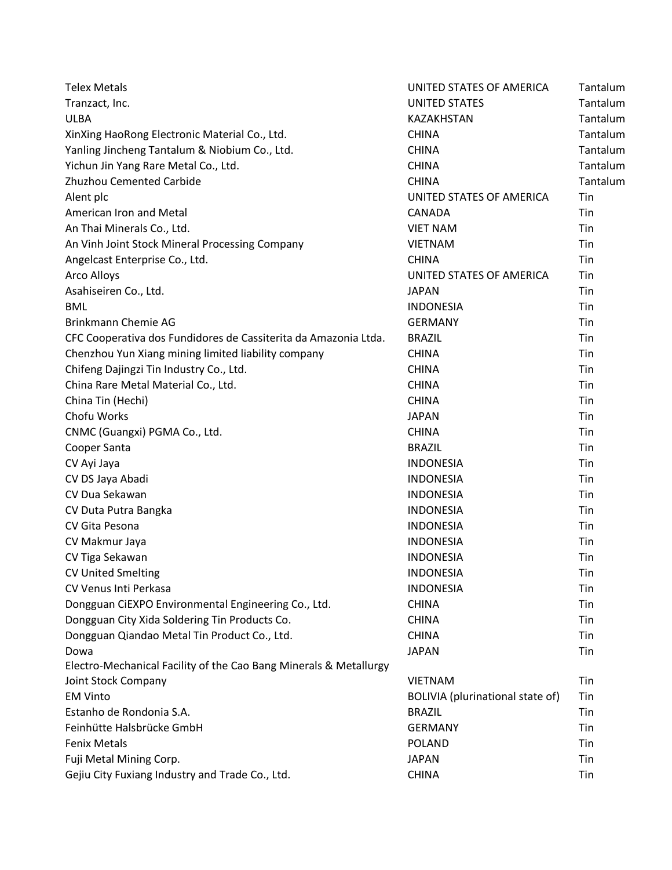| <b>Telex Metals</b>                                               | UNITED STATES OF AMERICA         | Tantalum |
|-------------------------------------------------------------------|----------------------------------|----------|
| Tranzact, Inc.                                                    | <b>UNITED STATES</b>             | Tantalum |
| <b>ULBA</b>                                                       | KAZAKHSTAN                       | Tantalum |
| XinXing HaoRong Electronic Material Co., Ltd.                     | <b>CHINA</b>                     | Tantalum |
| Yanling Jincheng Tantalum & Niobium Co., Ltd.                     | <b>CHINA</b>                     | Tantalum |
| Yichun Jin Yang Rare Metal Co., Ltd.                              | <b>CHINA</b>                     | Tantalum |
| Zhuzhou Cemented Carbide                                          | <b>CHINA</b>                     | Tantalum |
| Alent plc                                                         | UNITED STATES OF AMERICA         | Tin      |
| American Iron and Metal                                           | CANADA                           | Tin      |
| An Thai Minerals Co., Ltd.                                        | <b>VIET NAM</b>                  | Tin      |
| An Vinh Joint Stock Mineral Processing Company                    | <b>VIETNAM</b>                   | Tin      |
| Angelcast Enterprise Co., Ltd.                                    | <b>CHINA</b>                     | Tin      |
| Arco Alloys                                                       | UNITED STATES OF AMERICA         | Tin      |
| Asahiseiren Co., Ltd.                                             | <b>JAPAN</b>                     | Tin      |
| <b>BML</b>                                                        | <b>INDONESIA</b>                 | Tin      |
| Brinkmann Chemie AG                                               | <b>GERMANY</b>                   | Tin      |
| CFC Cooperativa dos Fundidores de Cassiterita da Amazonia Ltda.   | <b>BRAZIL</b>                    | Tin      |
| Chenzhou Yun Xiang mining limited liability company               | <b>CHINA</b>                     | Tin      |
| Chifeng Dajingzi Tin Industry Co., Ltd.                           | <b>CHINA</b>                     | Tin      |
| China Rare Metal Material Co., Ltd.                               | <b>CHINA</b>                     | Tin      |
| China Tin (Hechi)                                                 | <b>CHINA</b>                     | Tin      |
| Chofu Works                                                       | <b>JAPAN</b>                     | Tin      |
| CNMC (Guangxi) PGMA Co., Ltd.                                     | <b>CHINA</b>                     | Tin      |
| Cooper Santa                                                      | <b>BRAZIL</b>                    | Tin      |
| CV Ayi Jaya                                                       | <b>INDONESIA</b>                 | Tin      |
| CV DS Jaya Abadi                                                  | <b>INDONESIA</b>                 | Tin      |
| CV Dua Sekawan                                                    | <b>INDONESIA</b>                 | Tin      |
| CV Duta Putra Bangka                                              | <b>INDONESIA</b>                 | Tin      |
| CV Gita Pesona                                                    | <b>INDONESIA</b>                 | Tin      |
| CV Makmur Jaya                                                    | <b>INDONESIA</b>                 | Tin      |
| CV Tiga Sekawan                                                   | <b>INDONESIA</b>                 | Tin      |
| <b>CV United Smelting</b>                                         | <b>INDONESIA</b>                 | Tin      |
| CV Venus Inti Perkasa                                             | <b>INDONESIA</b>                 | Tin      |
| Dongguan CiEXPO Environmental Engineering Co., Ltd.               | <b>CHINA</b>                     | Tin      |
| Dongguan City Xida Soldering Tin Products Co.                     | <b>CHINA</b>                     | Tin      |
| Dongguan Qiandao Metal Tin Product Co., Ltd.                      | <b>CHINA</b>                     | Tin      |
| Dowa                                                              | <b>JAPAN</b>                     | Tin      |
| Electro-Mechanical Facility of the Cao Bang Minerals & Metallurgy |                                  |          |
| Joint Stock Company                                               | <b>VIETNAM</b>                   | Tin      |
| <b>EM Vinto</b>                                                   | BOLIVIA (plurinational state of) | Tin      |
| Estanho de Rondonia S.A.                                          | <b>BRAZIL</b>                    | Tin      |
| Feinhütte Halsbrücke GmbH                                         | <b>GERMANY</b>                   | Tin      |
| <b>Fenix Metals</b>                                               | <b>POLAND</b>                    | Tin      |
| Fuji Metal Mining Corp.                                           | <b>JAPAN</b>                     | Tin      |
| Gejiu City Fuxiang Industry and Trade Co., Ltd.                   | <b>CHINA</b>                     | Tin      |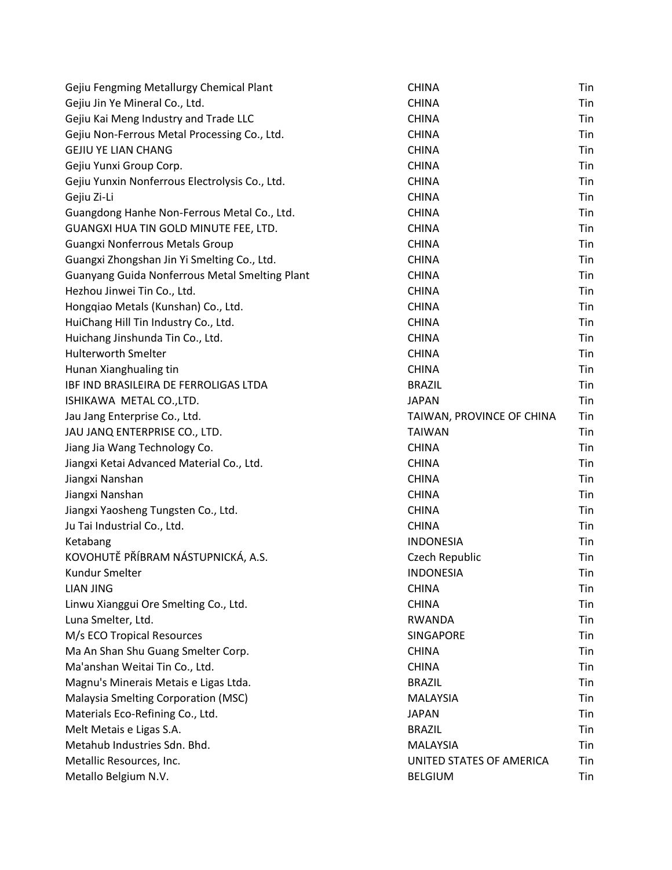| Gejiu Fengming Metallurgy Chemical Plant       | <b>CHINA</b>              | Tin |
|------------------------------------------------|---------------------------|-----|
| Gejiu Jin Ye Mineral Co., Ltd.                 | <b>CHINA</b>              | Tin |
| Gejiu Kai Meng Industry and Trade LLC          | <b>CHINA</b>              | Tin |
| Gejiu Non-Ferrous Metal Processing Co., Ltd.   | <b>CHINA</b>              | Tin |
| <b>GEJIU YE LIAN CHANG</b>                     | <b>CHINA</b>              | Tin |
| Gejiu Yunxi Group Corp.                        | <b>CHINA</b>              | Tin |
| Gejiu Yunxin Nonferrous Electrolysis Co., Ltd. | <b>CHINA</b>              | Tin |
| Gejiu Zi-Li                                    | <b>CHINA</b>              | Tin |
| Guangdong Hanhe Non-Ferrous Metal Co., Ltd.    | <b>CHINA</b>              | Tin |
| GUANGXI HUA TIN GOLD MINUTE FEE, LTD.          | <b>CHINA</b>              | Tin |
| Guangxi Nonferrous Metals Group                | <b>CHINA</b>              | Tin |
| Guangxi Zhongshan Jin Yi Smelting Co., Ltd.    | <b>CHINA</b>              | Tin |
| Guanyang Guida Nonferrous Metal Smelting Plant | <b>CHINA</b>              | Tin |
| Hezhou Jinwei Tin Co., Ltd.                    | <b>CHINA</b>              | Tin |
| Hongqiao Metals (Kunshan) Co., Ltd.            | <b>CHINA</b>              | Tin |
| HuiChang Hill Tin Industry Co., Ltd.           | <b>CHINA</b>              | Tin |
| Huichang Jinshunda Tin Co., Ltd.               | <b>CHINA</b>              | Tin |
| <b>Hulterworth Smelter</b>                     | <b>CHINA</b>              | Tin |
| Hunan Xianghualing tin                         | <b>CHINA</b>              | Tin |
| IBF IND BRASILEIRA DE FERROLIGAS LTDA          | <b>BRAZIL</b>             | Tin |
| ISHIKAWA METAL CO., LTD.                       | <b>JAPAN</b>              | Tin |
| Jau Jang Enterprise Co., Ltd.                  | TAIWAN, PROVINCE OF CHINA | Tin |
| JAU JANQ ENTERPRISE CO., LTD.                  | <b>TAIWAN</b>             | Tin |
| Jiang Jia Wang Technology Co.                  | <b>CHINA</b>              | Tin |
| Jiangxi Ketai Advanced Material Co., Ltd.      | <b>CHINA</b>              | Tin |
| Jiangxi Nanshan                                | <b>CHINA</b>              | Tin |
| Jiangxi Nanshan                                | <b>CHINA</b>              | Tin |
| Jiangxi Yaosheng Tungsten Co., Ltd.            | <b>CHINA</b>              | Tin |
| Ju Tai Industrial Co., Ltd.                    | <b>CHINA</b>              | Tin |
| Ketabang                                       | <b>INDONESIA</b>          | Tin |
| KOVOHUTĚ PŘÍBRAM NÁSTUPNICKÁ, A.S.             | Czech Republic            | Tin |
| Kundur Smelter                                 | <b>INDONESIA</b>          | Tin |
| LIAN JING                                      | <b>CHINA</b>              | Tin |
| Linwu Xianggui Ore Smelting Co., Ltd.          | <b>CHINA</b>              | Tin |
| Luna Smelter, Ltd.                             | RWANDA                    | Tin |
| M/s ECO Tropical Resources                     | SINGAPORE                 | Tin |
| Ma An Shan Shu Guang Smelter Corp.             | <b>CHINA</b>              | Tin |
| Ma'anshan Weitai Tin Co., Ltd.                 | <b>CHINA</b>              | Tin |
| Magnu's Minerais Metais e Ligas Ltda.          | <b>BRAZIL</b>             | Tin |
| Malaysia Smelting Corporation (MSC)            | <b>MALAYSIA</b>           | Tin |
| Materials Eco-Refining Co., Ltd.               | <b>JAPAN</b>              | Tin |
| Melt Metais e Ligas S.A.                       | <b>BRAZIL</b>             | Tin |
| Metahub Industries Sdn. Bhd.                   | <b>MALAYSIA</b>           | Tin |
| Metallic Resources, Inc.                       | UNITED STATES OF AMERICA  | Tin |
| Metallo Belgium N.V.                           | <b>BELGIUM</b>            | Tin |
|                                                |                           |     |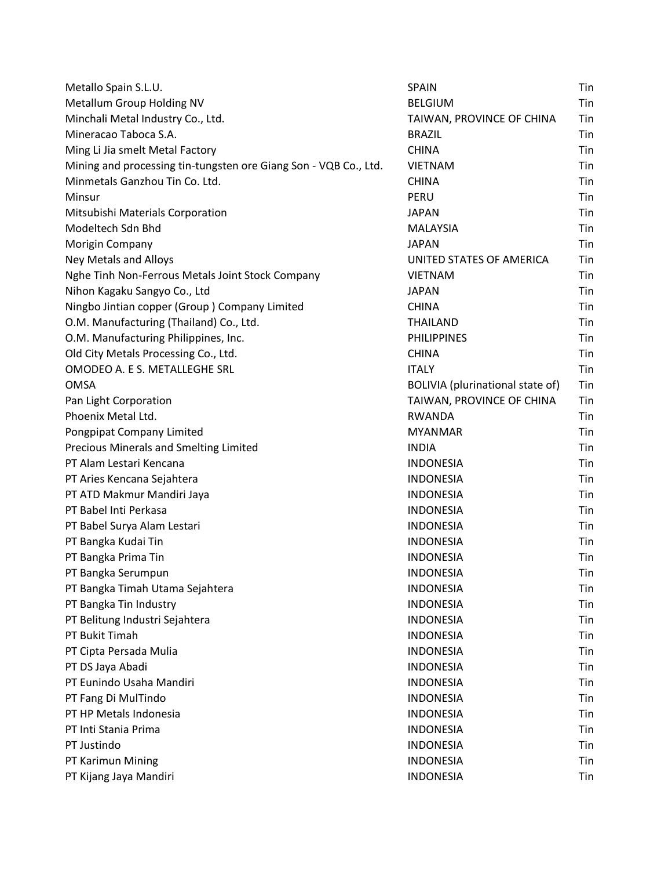| Metallo Spain S.L.U.                                             | <b>SPAIN</b>                     | Tin |
|------------------------------------------------------------------|----------------------------------|-----|
| Metallum Group Holding NV                                        | <b>BELGIUM</b>                   | Tin |
| Minchali Metal Industry Co., Ltd.                                | TAIWAN, PROVINCE OF CHINA        | Tin |
| Mineracao Taboca S.A.                                            | <b>BRAZIL</b>                    | Tin |
| Ming Li Jia smelt Metal Factory                                  | <b>CHINA</b>                     | Tin |
| Mining and processing tin-tungsten ore Giang Son - VQB Co., Ltd. | <b>VIETNAM</b>                   | Tin |
| Minmetals Ganzhou Tin Co. Ltd.                                   | <b>CHINA</b>                     | Tin |
| Minsur                                                           | PERU                             | Tin |
| Mitsubishi Materials Corporation                                 | <b>JAPAN</b>                     | Tin |
| Modeltech Sdn Bhd                                                | MALAYSIA                         | Tin |
| Morigin Company                                                  | <b>JAPAN</b>                     | Tin |
| Ney Metals and Alloys                                            | UNITED STATES OF AMERICA         | Tin |
| Nghe Tinh Non-Ferrous Metals Joint Stock Company                 | <b>VIETNAM</b>                   | Tin |
| Nihon Kagaku Sangyo Co., Ltd                                     | <b>JAPAN</b>                     | Tin |
| Ningbo Jintian copper (Group) Company Limited                    | <b>CHINA</b>                     | Tin |
| O.M. Manufacturing (Thailand) Co., Ltd.                          | <b>THAILAND</b>                  | Tin |
| O.M. Manufacturing Philippines, Inc.                             | <b>PHILIPPINES</b>               | Tin |
| Old City Metals Processing Co., Ltd.                             | <b>CHINA</b>                     | Tin |
| OMODEO A. E S. METALLEGHE SRL                                    | <b>ITALY</b>                     | Tin |
| <b>OMSA</b>                                                      | BOLIVIA (plurinational state of) | Tin |
| Pan Light Corporation                                            | TAIWAN, PROVINCE OF CHINA        | Tin |
| Phoenix Metal Ltd.                                               | <b>RWANDA</b>                    | Tin |
| Pongpipat Company Limited                                        | <b>MYANMAR</b>                   | Tin |
| Precious Minerals and Smelting Limited                           | <b>INDIA</b>                     | Tin |
| PT Alam Lestari Kencana                                          | <b>INDONESIA</b>                 | Tin |
| PT Aries Kencana Sejahtera                                       | <b>INDONESIA</b>                 | Tin |
| PT ATD Makmur Mandiri Jaya                                       | <b>INDONESIA</b>                 | Tin |
| PT Babel Inti Perkasa                                            | <b>INDONESIA</b>                 | Tin |
| PT Babel Surya Alam Lestari                                      | <b>INDONESIA</b>                 | Tin |
| PT Bangka Kudai Tin                                              | <b>INDONESIA</b>                 | Tin |
| PT Bangka Prima Tin                                              | <b>INDONESIA</b>                 | Tin |
| PT Bangka Serumpun                                               | <b>INDONESIA</b>                 | Tin |
| PT Bangka Timah Utama Sejahtera                                  | <b>INDONESIA</b>                 | Tin |
| PT Bangka Tin Industry                                           | <b>INDONESIA</b>                 | Tin |
| PT Belitung Industri Sejahtera                                   | <b>INDONESIA</b>                 | Tin |
| PT Bukit Timah                                                   | <b>INDONESIA</b>                 | Tin |
| PT Cipta Persada Mulia                                           | <b>INDONESIA</b>                 | Tin |
| PT DS Jaya Abadi                                                 | <b>INDONESIA</b>                 | Tin |
| PT Eunindo Usaha Mandiri                                         | <b>INDONESIA</b>                 | Tin |
| PT Fang Di MulTindo                                              | <b>INDONESIA</b>                 | Tin |
| PT HP Metals Indonesia                                           | <b>INDONESIA</b>                 | Tin |
| PT Inti Stania Prima                                             | <b>INDONESIA</b>                 | Tin |
| PT Justindo                                                      | <b>INDONESIA</b>                 | Tin |
| PT Karimun Mining                                                | <b>INDONESIA</b>                 | Tin |
| PT Kijang Jaya Mandiri                                           | <b>INDONESIA</b>                 | Tin |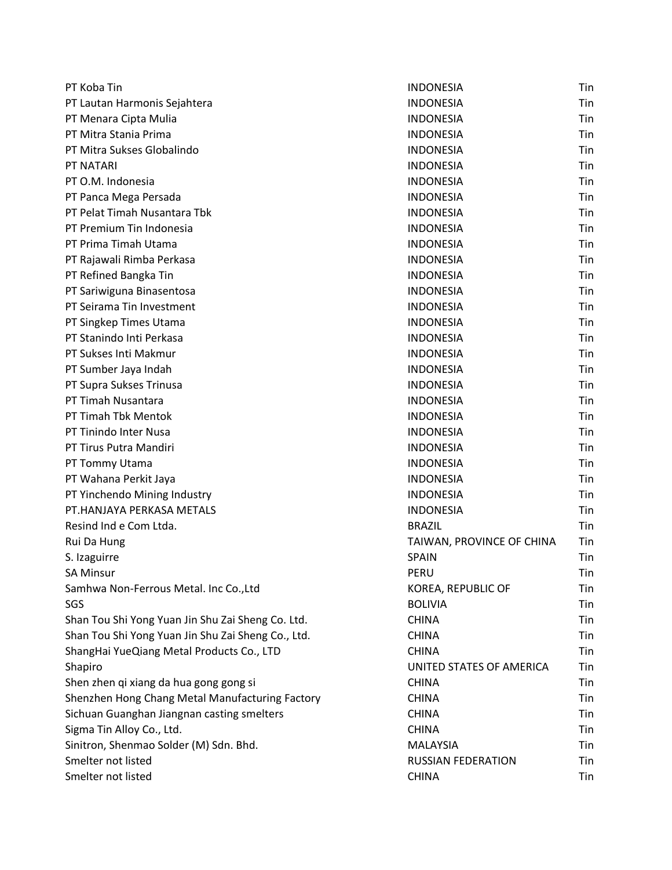| PT Koba Tin                                        | <b>INDONESIA</b>          | Tin |
|----------------------------------------------------|---------------------------|-----|
| PT Lautan Harmonis Sejahtera                       | <b>INDONESIA</b>          | Tin |
| PT Menara Cipta Mulia                              | <b>INDONESIA</b>          | Tin |
| PT Mitra Stania Prima                              | <b>INDONESIA</b>          | Tin |
| PT Mitra Sukses Globalindo                         | <b>INDONESIA</b>          | Tin |
| PT NATARI                                          | <b>INDONESIA</b>          | Tin |
| PT O.M. Indonesia                                  | <b>INDONESIA</b>          | Tin |
| PT Panca Mega Persada                              | <b>INDONESIA</b>          | Tin |
| PT Pelat Timah Nusantara Tbk                       | <b>INDONESIA</b>          | Tin |
| PT Premium Tin Indonesia                           | <b>INDONESIA</b>          | Tin |
| PT Prima Timah Utama                               | <b>INDONESIA</b>          | Tin |
| PT Rajawali Rimba Perkasa                          | <b>INDONESIA</b>          | Tin |
| PT Refined Bangka Tin                              | <b>INDONESIA</b>          | Tin |
| PT Sariwiguna Binasentosa                          | <b>INDONESIA</b>          | Tin |
| PT Seirama Tin Investment                          | <b>INDONESIA</b>          | Tin |
| PT Singkep Times Utama                             | <b>INDONESIA</b>          | Tin |
| PT Stanindo Inti Perkasa                           | <b>INDONESIA</b>          | Tin |
| PT Sukses Inti Makmur                              | <b>INDONESIA</b>          | Tin |
| PT Sumber Jaya Indah                               | <b>INDONESIA</b>          | Tin |
| PT Supra Sukses Trinusa                            | <b>INDONESIA</b>          | Tin |
| PT Timah Nusantara                                 | <b>INDONESIA</b>          | Tin |
| PT Timah Tbk Mentok                                | <b>INDONESIA</b>          | Tin |
| PT Tinindo Inter Nusa                              | <b>INDONESIA</b>          | Tin |
| PT Tirus Putra Mandiri                             | <b>INDONESIA</b>          | Tin |
| PT Tommy Utama                                     | <b>INDONESIA</b>          | Tin |
| PT Wahana Perkit Jaya                              | <b>INDONESIA</b>          | Tin |
| PT Yinchendo Mining Industry                       | <b>INDONESIA</b>          | Tin |
| PT.HANJAYA PERKASA METALS                          | <b>INDONESIA</b>          | Tin |
| Resind Ind e Com Ltda.                             | <b>BRAZIL</b>             | Tin |
| Rui Da Hung                                        | TAIWAN, PROVINCE OF CHINA | Tin |
| S. Izaguirre                                       | <b>SPAIN</b>              | Tin |
| <b>SA Minsur</b>                                   | PERU                      | Tin |
| Samhwa Non-Ferrous Metal. Inc Co., Ltd             | KOREA, REPUBLIC OF        | Tin |
| SGS                                                | <b>BOLIVIA</b>            | Tin |
| Shan Tou Shi Yong Yuan Jin Shu Zai Sheng Co. Ltd.  | <b>CHINA</b>              | Tin |
| Shan Tou Shi Yong Yuan Jin Shu Zai Sheng Co., Ltd. | <b>CHINA</b>              | Tin |
| ShangHai YueQiang Metal Products Co., LTD          | <b>CHINA</b>              | Tin |
| Shapiro                                            | UNITED STATES OF AMERICA  | Tin |
| Shen zhen qi xiang da hua gong gong si             | <b>CHINA</b>              | Tin |
| Shenzhen Hong Chang Metal Manufacturing Factory    | <b>CHINA</b>              | Tin |
| Sichuan Guanghan Jiangnan casting smelters         | <b>CHINA</b>              | Tin |
| Sigma Tin Alloy Co., Ltd.                          | <b>CHINA</b>              | Tin |
| Sinitron, Shenmao Solder (M) Sdn. Bhd.             | MALAYSIA                  | Tin |
| Smelter not listed                                 | RUSSIAN FEDERATION        | Tin |
| Smelter not listed                                 | <b>CHINA</b>              | Tin |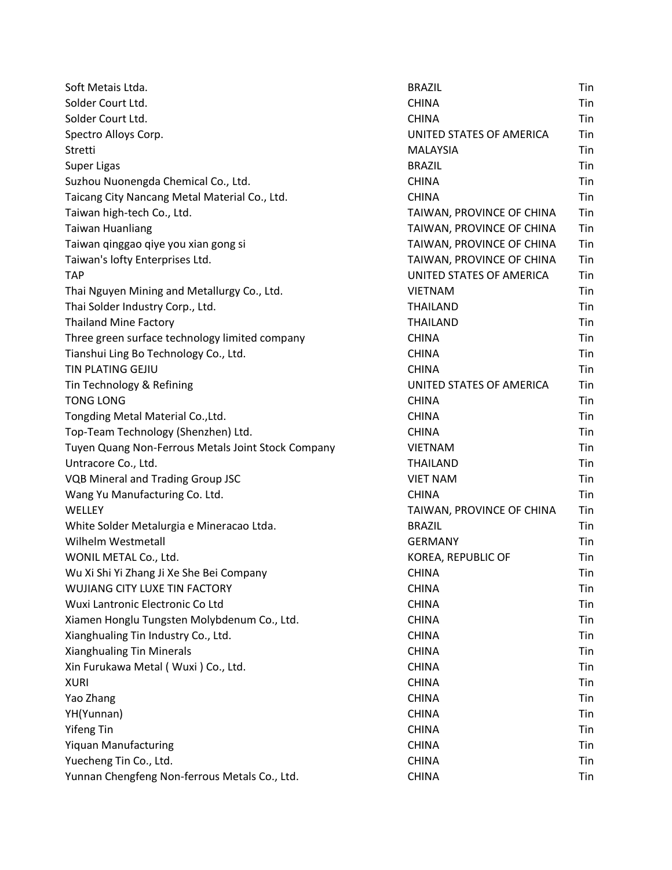| Soft Metais Ltda.                                  | <b>BRAZIL</b>             | Tin |
|----------------------------------------------------|---------------------------|-----|
| Solder Court Ltd.                                  | <b>CHINA</b>              | Tin |
| Solder Court Ltd.                                  | <b>CHINA</b>              | Tin |
| Spectro Alloys Corp.                               | UNITED STATES OF AMERICA  | Tin |
| Stretti                                            | <b>MALAYSIA</b>           | Tin |
| <b>Super Ligas</b>                                 | <b>BRAZIL</b>             | Tin |
| Suzhou Nuonengda Chemical Co., Ltd.                | <b>CHINA</b>              | Tin |
| Taicang City Nancang Metal Material Co., Ltd.      | <b>CHINA</b>              | Tin |
| Taiwan high-tech Co., Ltd.                         | TAIWAN, PROVINCE OF CHINA | Tin |
| <b>Taiwan Huanliang</b>                            | TAIWAN, PROVINCE OF CHINA | Tin |
| Taiwan qinggao qiye you xian gong si               | TAIWAN, PROVINCE OF CHINA | Tin |
| Taiwan's lofty Enterprises Ltd.                    | TAIWAN, PROVINCE OF CHINA | Tin |
| <b>TAP</b>                                         | UNITED STATES OF AMERICA  | Tin |
| Thai Nguyen Mining and Metallurgy Co., Ltd.        | <b>VIETNAM</b>            | Tin |
| Thai Solder Industry Corp., Ltd.                   | THAILAND                  | Tin |
| <b>Thailand Mine Factory</b>                       | <b>THAILAND</b>           | Tin |
| Three green surface technology limited company     | <b>CHINA</b>              | Tin |
| Tianshui Ling Bo Technology Co., Ltd.              | <b>CHINA</b>              | Tin |
| TIN PLATING GEJIU                                  | <b>CHINA</b>              | Tin |
| Tin Technology & Refining                          | UNITED STATES OF AMERICA  | Tin |
| <b>TONG LONG</b>                                   | <b>CHINA</b>              | Tin |
| Tongding Metal Material Co., Ltd.                  | <b>CHINA</b>              | Tin |
| Top-Team Technology (Shenzhen) Ltd.                | <b>CHINA</b>              | Tin |
| Tuyen Quang Non-Ferrous Metals Joint Stock Company | <b>VIETNAM</b>            | Tin |
| Untracore Co., Ltd.                                | <b>THAILAND</b>           | Tin |
| <b>VQB Mineral and Trading Group JSC</b>           | <b>VIET NAM</b>           | Tin |
| Wang Yu Manufacturing Co. Ltd.                     | <b>CHINA</b>              | Tin |
| WELLEY                                             | TAIWAN, PROVINCE OF CHINA | Tin |
| White Solder Metalurgia e Mineracao Ltda.          | <b>BRAZIL</b>             | Tin |
| Wilhelm Westmetall                                 | <b>GERMANY</b>            | Tin |
| WONIL METAL Co., Ltd.                              | KOREA, REPUBLIC OF        | Tin |
| Wu Xi Shi Yi Zhang Ji Xe She Bei Company           | CHINA                     | Tin |
| WUJIANG CITY LUXE TIN FACTORY                      | <b>CHINA</b>              | Tin |
| Wuxi Lantronic Electronic Co Ltd                   | <b>CHINA</b>              | Tin |
| Xiamen Honglu Tungsten Molybdenum Co., Ltd.        | <b>CHINA</b>              | Tin |
| Xianghualing Tin Industry Co., Ltd.                | <b>CHINA</b>              | Tin |
| <b>Xianghualing Tin Minerals</b>                   | <b>CHINA</b>              | Tin |
| Xin Furukawa Metal (Wuxi) Co., Ltd.                | <b>CHINA</b>              | Tin |
| <b>XURI</b>                                        | <b>CHINA</b>              | Tin |
| Yao Zhang                                          | <b>CHINA</b>              | Tin |
| YH(Yunnan)                                         | <b>CHINA</b>              | Tin |
| <b>Yifeng Tin</b>                                  | <b>CHINA</b>              | Tin |
| <b>Yiquan Manufacturing</b>                        | <b>CHINA</b>              | Tin |
| Yuecheng Tin Co., Ltd.                             | <b>CHINA</b>              | Tin |
| Yunnan Chengfeng Non-ferrous Metals Co., Ltd.      | <b>CHINA</b>              | Tin |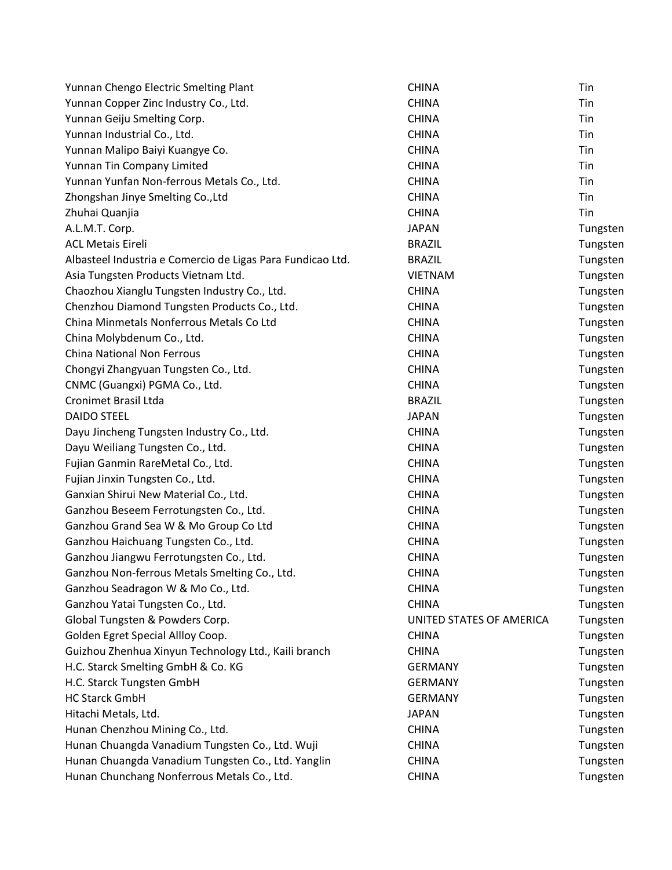| Yunnan Chengo Electric Smelting Plant                      | <b>CHINA</b>             | Tin      |
|------------------------------------------------------------|--------------------------|----------|
| Yunnan Copper Zinc Industry Co., Ltd.                      | <b>CHINA</b>             | Tin      |
| Yunnan Geiju Smelting Corp.                                | <b>CHINA</b>             | Tin      |
| Yunnan Industrial Co., Ltd.                                | <b>CHINA</b>             | Tin      |
| Yunnan Malipo Baiyi Kuangye Co.                            | <b>CHINA</b>             | Tin      |
| Yunnan Tin Company Limited                                 | <b>CHINA</b>             | Tin      |
| Yunnan Yunfan Non-ferrous Metals Co., Ltd.                 | <b>CHINA</b>             | Tin      |
| Zhongshan Jinye Smelting Co., Ltd                          | <b>CHINA</b>             | Tin      |
| Zhuhai Quanjia                                             | <b>CHINA</b>             | Tin      |
| A.L.M.T. Corp.                                             | <b>JAPAN</b>             | Tungsten |
| <b>ACL Metais Eireli</b>                                   | <b>BRAZIL</b>            | Tungsten |
| Albasteel Industria e Comercio de Ligas Para Fundicao Ltd. | <b>BRAZIL</b>            | Tungsten |
| Asia Tungsten Products Vietnam Ltd.                        | <b>VIETNAM</b>           | Tungsten |
| Chaozhou Xianglu Tungsten Industry Co., Ltd.               | <b>CHINA</b>             | Tungsten |
| Chenzhou Diamond Tungsten Products Co., Ltd.               | <b>CHINA</b>             | Tungsten |
| China Minmetals Nonferrous Metals Co Ltd                   | <b>CHINA</b>             | Tungsten |
| China Molybdenum Co., Ltd.                                 | <b>CHINA</b>             | Tungsten |
| <b>China National Non Ferrous</b>                          | <b>CHINA</b>             | Tungsten |
| Chongyi Zhangyuan Tungsten Co., Ltd.                       | <b>CHINA</b>             | Tungsten |
| CNMC (Guangxi) PGMA Co., Ltd.                              | <b>CHINA</b>             | Tungsten |
| <b>Cronimet Brasil Ltda</b>                                | <b>BRAZIL</b>            | Tungsten |
| <b>DAIDO STEEL</b>                                         | <b>JAPAN</b>             | Tungsten |
| Dayu Jincheng Tungsten Industry Co., Ltd.                  | <b>CHINA</b>             | Tungsten |
| Dayu Weiliang Tungsten Co., Ltd.                           | <b>CHINA</b>             | Tungsten |
| Fujian Ganmin RareMetal Co., Ltd.                          | <b>CHINA</b>             | Tungsten |
| Fujian Jinxin Tungsten Co., Ltd.                           | <b>CHINA</b>             | Tungsten |
| Ganxian Shirui New Material Co., Ltd.                      | <b>CHINA</b>             | Tungsten |
| Ganzhou Beseem Ferrotungsten Co., Ltd.                     | <b>CHINA</b>             | Tungsten |
| Ganzhou Grand Sea W & Mo Group Co Ltd                      | <b>CHINA</b>             | Tungsten |
| Ganzhou Haichuang Tungsten Co., Ltd.                       | <b>CHINA</b>             | Tungsten |
| Ganzhou Jiangwu Ferrotungsten Co., Ltd.                    | <b>CHINA</b>             | Tungsten |
| Ganzhou Non-ferrous Metals Smelting Co., Ltd.              | <b>CHINA</b>             | Tungsten |
| Ganzhou Seadragon W & Mo Co., Ltd.                         | <b>CHINA</b>             | Tungsten |
| Ganzhou Yatai Tungsten Co., Ltd.                           | <b>CHINA</b>             | Tungsten |
| Global Tungsten & Powders Corp.                            | UNITED STATES OF AMERICA | Tungsten |
| Golden Egret Special Allloy Coop.                          | <b>CHINA</b>             | Tungsten |
| Guizhou Zhenhua Xinyun Technology Ltd., Kaili branch       | <b>CHINA</b>             | Tungsten |
| H.C. Starck Smelting GmbH & Co. KG                         | <b>GERMANY</b>           | Tungsten |
| H.C. Starck Tungsten GmbH                                  | <b>GERMANY</b>           | Tungsten |
| <b>HC Starck GmbH</b>                                      | <b>GERMANY</b>           | Tungsten |
| Hitachi Metals, Ltd.                                       | <b>JAPAN</b>             | Tungsten |
| Hunan Chenzhou Mining Co., Ltd.                            | <b>CHINA</b>             | Tungsten |
| Hunan Chuangda Vanadium Tungsten Co., Ltd. Wuji            | <b>CHINA</b>             | Tungsten |
| Hunan Chuangda Vanadium Tungsten Co., Ltd. Yanglin         | <b>CHINA</b>             | Tungsten |
| Hunan Chunchang Nonferrous Metals Co., Ltd.                | <b>CHINA</b>             | Tungsten |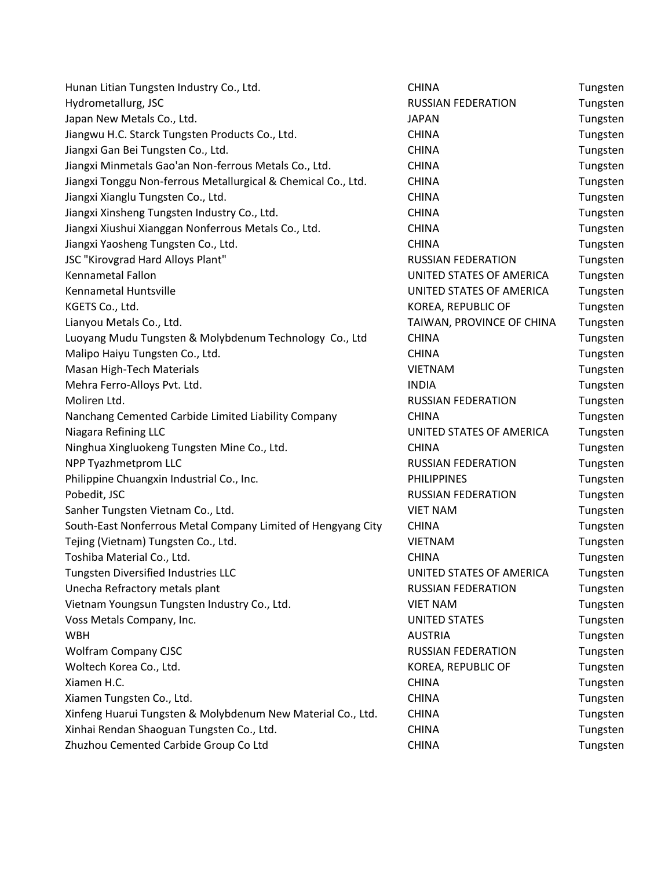| Hunan Litian Tungsten Industry Co., Ltd.                      | <b>CHINA</b>              | Tungsten |
|---------------------------------------------------------------|---------------------------|----------|
| Hydrometallurg, JSC                                           | <b>RUSSIAN FEDERATION</b> | Tungsten |
| Japan New Metals Co., Ltd.                                    | <b>JAPAN</b>              | Tungsten |
| Jiangwu H.C. Starck Tungsten Products Co., Ltd.               | <b>CHINA</b>              | Tungsten |
| Jiangxi Gan Bei Tungsten Co., Ltd.                            | <b>CHINA</b>              | Tungsten |
| Jiangxi Minmetals Gao'an Non-ferrous Metals Co., Ltd.         | <b>CHINA</b>              | Tungsten |
| Jiangxi Tonggu Non-ferrous Metallurgical & Chemical Co., Ltd. | <b>CHINA</b>              | Tungsten |
| Jiangxi Xianglu Tungsten Co., Ltd.                            | <b>CHINA</b>              | Tungsten |
| Jiangxi Xinsheng Tungsten Industry Co., Ltd.                  | <b>CHINA</b>              | Tungsten |
| Jiangxi Xiushui Xianggan Nonferrous Metals Co., Ltd.          | <b>CHINA</b>              | Tungsten |
| Jiangxi Yaosheng Tungsten Co., Ltd.                           | <b>CHINA</b>              | Tungsten |
| JSC "Kirovgrad Hard Alloys Plant"                             | <b>RUSSIAN FEDERATION</b> | Tungsten |
| Kennametal Fallon                                             | UNITED STATES OF AMERICA  | Tungsten |
| Kennametal Huntsville                                         | UNITED STATES OF AMERICA  | Tungsten |
| KGETS Co., Ltd.                                               | KOREA, REPUBLIC OF        | Tungsten |
| Lianyou Metals Co., Ltd.                                      | TAIWAN, PROVINCE OF CHINA | Tungsten |
| Luoyang Mudu Tungsten & Molybdenum Technology Co., Ltd        | <b>CHINA</b>              | Tungsten |
| Malipo Haiyu Tungsten Co., Ltd.                               | <b>CHINA</b>              | Tungsten |
| Masan High-Tech Materials                                     | <b>VIETNAM</b>            | Tungsten |
| Mehra Ferro-Alloys Pvt. Ltd.                                  | <b>INDIA</b>              | Tungsten |
| Moliren Ltd.                                                  | <b>RUSSIAN FEDERATION</b> | Tungsten |
| Nanchang Cemented Carbide Limited Liability Company           | <b>CHINA</b>              | Tungsten |
| Niagara Refining LLC                                          | UNITED STATES OF AMERICA  | Tungsten |
| Ninghua Xingluokeng Tungsten Mine Co., Ltd.                   | <b>CHINA</b>              | Tungsten |
| NPP Tyazhmetprom LLC                                          | <b>RUSSIAN FEDERATION</b> | Tungsten |
| Philippine Chuangxin Industrial Co., Inc.                     | <b>PHILIPPINES</b>        | Tungsten |
| Pobedit, JSC                                                  | <b>RUSSIAN FEDERATION</b> | Tungsten |
| Sanher Tungsten Vietnam Co., Ltd.                             | <b>VIET NAM</b>           | Tungsten |
| South-East Nonferrous Metal Company Limited of Hengyang City  | <b>CHINA</b>              | Tungsten |
| Tejing (Vietnam) Tungsten Co., Ltd.                           | <b>VIETNAM</b>            | Tungsten |
| Toshiba Material Co., Ltd.                                    | <b>CHINA</b>              | Tungsten |
| Tungsten Diversified Industries LLC                           | UNITED STATES OF AMERICA  | Tungsten |
| Unecha Refractory metals plant                                | <b>RUSSIAN FEDERATION</b> | Tungsten |
| Vietnam Youngsun Tungsten Industry Co., Ltd.                  | <b>VIET NAM</b>           | Tungsten |
| Voss Metals Company, Inc.                                     | <b>UNITED STATES</b>      | Tungsten |
| <b>WBH</b>                                                    | <b>AUSTRIA</b>            | Tungsten |
| <b>Wolfram Company CJSC</b>                                   | RUSSIAN FEDERATION        | Tungsten |
| Woltech Korea Co., Ltd.                                       | KOREA, REPUBLIC OF        | Tungsten |
| Xiamen H.C.                                                   | <b>CHINA</b>              | Tungsten |
| Xiamen Tungsten Co., Ltd.                                     | <b>CHINA</b>              | Tungsten |
| Xinfeng Huarui Tungsten & Molybdenum New Material Co., Ltd.   | <b>CHINA</b>              | Tungsten |
| Xinhai Rendan Shaoguan Tungsten Co., Ltd.                     | <b>CHINA</b>              | Tungsten |
| Zhuzhou Cemented Carbide Group Coltd                          | <b>CHINA</b>              | Tungston |